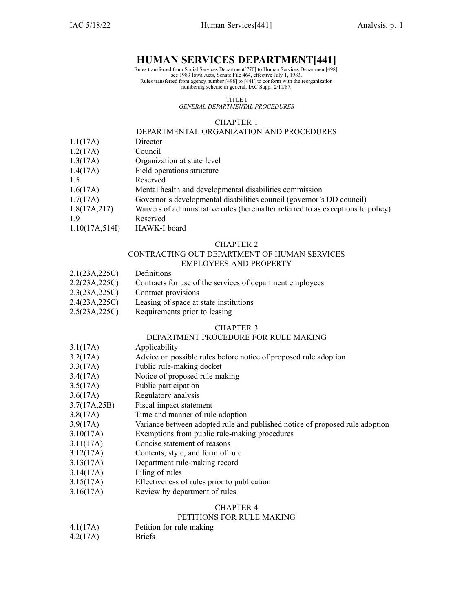### **HUMAN SERVICES DEPARTMENT[441]**

Rules transferred from Social Services Department[770] to Human Services Department[498], see 1983 Iowa Acts, Senate File 464, effective July 1, 1983. Rules transferred from agency number [498] to [441] to conform with the reorganization numbering scheme in general, IAC Supp. 2/11/87.

TITLE I

*GENERAL DEPARTMENTAL PROCEDURES*

#### CHAPTER 1

### DEPARTMENTAL ORGANIZATION AND PROCEDURES

- 1.1(17A) Director
- 1.2(17A) Council
- 1.3(17A) Organization at state level
- 1.4(17A) Field operations structure
- 1.5 Reserved
- 1.6(17A) Mental health and developmental disabilities commission
- 1.7(17A) Governor's developmental disabilities council (governor's DD council)
- 1.8(17A,217) Waivers of administrative rules (hereinafter referred to as exceptions to policy)
- 1.9 Reserved
- 1.10(17A,514I) HAWK-I board

#### CHAPTER 2

# CONTRACTING OUT DEPARTMENT OF HUMAN SERVICES

- EMPLOYEES AND PROPERTY
- 2.1(23A,225C) Definitions
- 2.2(23A,225C) Contracts for use of the services of department employees
- 2.3(23A,225C) Contract provisions
- 2.4(23A,225C) Leasing of space at state institutions
- 2.5(23A,225C) Requirements prior to leasing

#### CHAPTER 3

### DEPARTMENT PROCEDURE FOR RULE MAKING

- 3.1(17A) Applicability
- 3.2(17A) Advice on possible rules before notice of proposed rule adoption
- 3.3(17A) Public rule-making docket
- 3.4(17A) Notice of proposed rule making
- 3.5(17A) Public participation
- 3.6(17A) Regulatory analysis
- 3.7(17A,25B) Fiscal impact statement
- 3.8(17A) Time and manner of rule adoption
- 3.9(17A) Variance between adopted rule and published notice of proposed rule adoption
- 3.10(17A) Exemptions from public rule-making procedures
- 3.11(17A) Concise statement of reasons
- 3.12(17A) Contents, style, and form of rule
- 3.13(17A) Department rule-making record
- 3.14(17A) Filing of rules
- 3.15(17A) Effectiveness of rules prior to publication
- 3.16(17A) Review by department of rules

#### CHAPTER 4

#### PETITIONS FOR RULE MAKING

- 4.1(17A) Petition for rule making
- 4.2(17A) Briefs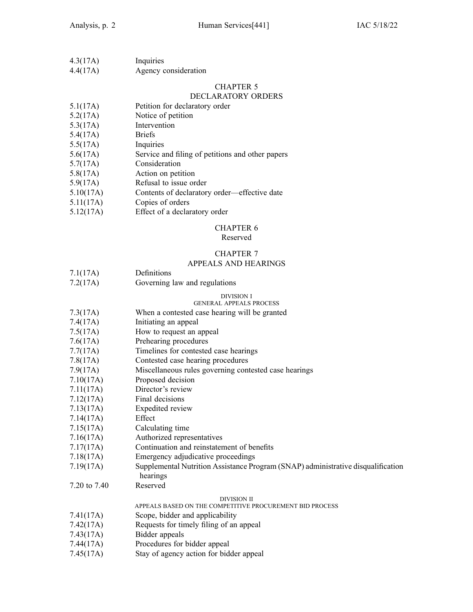| 4.3(17A) | Inquiries            |
|----------|----------------------|
| 4.4(17A) | Agency consideration |

### DECLARATORY ORDERS

| 5.1(17A) | Petition for declaratory order |  |
|----------|--------------------------------|--|
|----------|--------------------------------|--|

- 5.2(17A) Notice of petition
- 5.3(17A) Intervention
- 5.4(17A) Briefs
- 5.5(17A) Inquiries
- 5.6(17A) Service and filing of petitions and other papers
- 5.7(17A) Consideration
- 5.8(17A) Action on petition
- 5.9(17A) Refusal to issue order
- 5.10(17A) Contents of declaratory order—effective date
- 5.11(17A) Copies of orders
- 5.12(17A) Effect of <sup>a</sup> declaratory order

#### CHAPTER 6

#### Reserved

# CHAPTER 7

### APPEALS AND HEARINGS

| 7.1(17A) | Definitions |  |
|----------|-------------|--|
|          |             |  |

7.2(17A) Governing law and regulations

#### DIVISION I GENERAL APPEALS PROCESS

### 7.3(17A) When <sup>a</sup> contested case hearing will be granted

- 7.4(17A) Initiating an appeal
- 7.5(17A) How to reques<sup>t</sup> an appeal
- 7.6(17A) Prehearing procedures
- 7.7(17A) Timelines for contested case hearings
- 7.8(17A) Contested case hearing procedures
- 7.9(17A) Miscellaneous rules governing contested case hearings
- 7.10(17A) Proposed decision
- 7.11(17A) Director's review
- 7.12(17A) Final decisions
- 7.13(17A) Expedited review
- 7.14(17A) Effect
- 7.15(17A) Calculating time
- 7.16(17A) Authorized representatives
- 7.17(17A) Continuation and reinstatement of benefits
- 7.18(17A) Emergency adjudicative proceedings
- 7.19(17A) Supplemental Nutrition Assistance Program (SNAP) administrative disqualification hearings
- 7.20 to 7.40 Reserved

#### DIVISION II

- APPEALS BASED ON THE COMPETITIVE PROCUREMENT BID PROCESS
- 7.41(17A) Scope, bidder and applicability
- 7.42(17A) Requests for timely filing of an appeal
- 7.43(17A) Bidder appeals
- 7.44(17A) Procedures for bidder appeal
- 7.45(17A) Stay of agency action for bidder appeal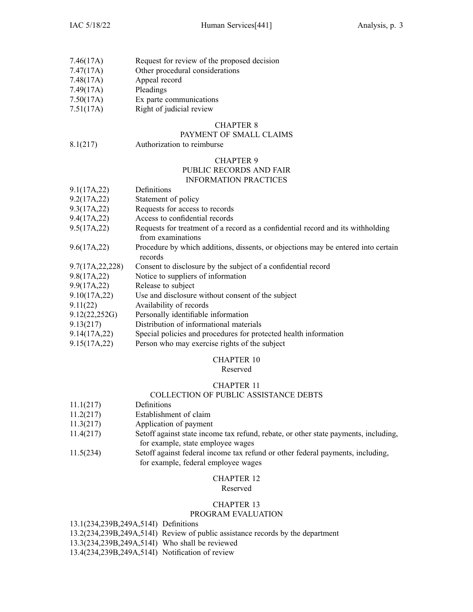| 7.46(17A) | Request for review of the proposed decision |  |
|-----------|---------------------------------------------|--|
|           |                                             |  |

- 7.47(17A) Other procedural considerations
- 7.48(17A) Appeal record
- 7.49(17A) Pleadings
- 7.50(17A) Ex parte communications
- 7.51(17A) Right of judicial review

### PAYMENT OF SMALL CLAIMS

8.1(217) Authorization to reimburse

## CHAPTER 9

# PUBLIC RECORDS AND FAIR

### INFORMATION PRACTICES

| 9.1(17A,22)       | Definitions                                                                                          |
|-------------------|------------------------------------------------------------------------------------------------------|
| 9.2(17A, 22)      | Statement of policy                                                                                  |
| 9.3(17A,22)       | Requests for access to records                                                                       |
| 9.4(17A,22)       | Access to confidential records                                                                       |
| 9.5(17A,22)       | Requests for treatment of a record as a confidential record and its withholding<br>from examinations |
| 9.6(17A,22)       | Procedure by which additions, dissents, or objections may be entered into certain<br>records         |
| 9.7(17A, 22, 228) | Consent to disclosure by the subject of a confidential record                                        |
| 9.8(17A,22)       | Notice to suppliers of information                                                                   |
| 9.9(17A, 22)      | Release to subject                                                                                   |
| 9.10(17A, 22)     | Use and disclosure without consent of the subject                                                    |
| 9.11(22)          | Availability of records                                                                              |
| 9.12(22,252)      | Personally identifiable information                                                                  |
| 9.13(217)         | Distribution of informational materials                                                              |
| 9.14(17A,22)      | Special policies and procedures for protected health information                                     |
| 9.15(17A, 22)     | Person who may exercise rights of the subject                                                        |

### CHAPTER 10

### Reserved

### CHAPTER 11

### COLLECTION OF PUBLIC ASSISTANCE DEBTS

- 11.1(217) Definitions
- 11.2(217) Establishment of claim
- 11.3(217) Application of paymen<sup>t</sup>
- 11.4(217) Setoff against state income tax refund, rebate, or other state payments, including, for example, state employee wages
- 11.5(234) Setoff against federal income tax refund or other federal payments, including, for example, federal employee wages

#### CHAPTER 12 Reserved

### CHAPTER 13

### PROGRAM EVALUATION

13.1(234,239B,249A,514I) Definitions

- 13.2(234,239B,249A,514I) Review of public assistance records by the department
- 13.3(234,239B,249A,514I) Who shall be reviewed
- 13.4(234,239B,249A,514I) Notification of review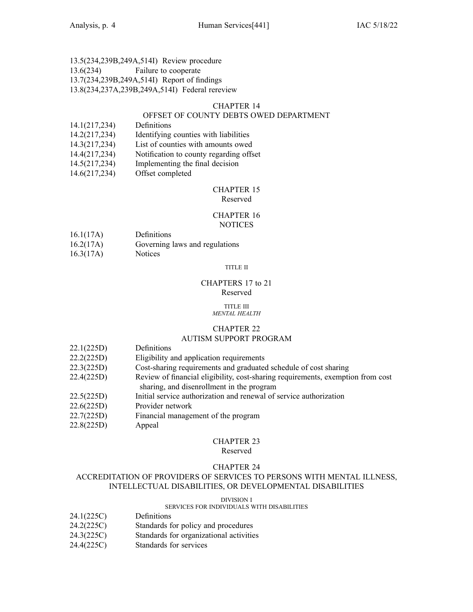### 13.5(234,239B,249A,514I) Review procedure 13.6(234) Failure to cooperate 13.7(234,239B,249A,514I) Report of findings 13.8(234,237A,239B,249A,514I) Federal rereview

### CHAPTER 14

### OFFSET OF COUNTY DEBTS OWED DEPARTMENT

- 14.1(217,234) Definitions
- 14.2(217,234) Identifying counties with liabilities
- 14.3(217,234) List of counties with amounts owed
- 14.4(217,234) Notification to county regarding offset
- 14.5(217,234) Implementing the final decision
- 14.6(217,234) Offset completed

#### CHAPTER 15 Reserved

### CHAPTER 16 **NOTICES**

- 16.1(17A) Definitions
- 16.2(17A) Governing laws and regulations
- 16.3(17A) Notices

#### TITLE II

### CHAPTERS 17 to 21 Reserved

#### TITLE III *MENTAL HEALTH*

### CHAPTER 22

### AUTISM SUPPORT PROGRAM

- 22.1(225D) Definitions
- 22.2(225D) Eligibility and application requirements
- 22.3(225D) Cost-sharing requirements and graduated schedule of cost sharing
- 22.4(225D) Review of financial eligibility, cost-sharing requirements, exemption from cost sharing, and disenrollment in the program
- 22.5(225D) Initial service authorization and renewal of service authorization
- 22.6(225D) Provider network
- 22.7(225D) Financial managemen<sup>t</sup> of the program
- 22.8(225D) Appeal

### CHAPTER 23

#### Reserved

### CHAPTER 24

### ACCREDITATION OF PROVIDERS OF SERVICES TO PERSONS WITH MENTAL ILLNESS, INTELLECTUAL DISABILITIES, OR DEVELOPMENTAL DISABILITIES

#### DIVISION I

### SERVICES FOR INDIVIDUALS WITH DISABILITIES

- 24.1(225C) Definitions
- 24.2(225C) Standards for policy and procedures
- 24.3(225C) Standards for organizational activities
- 24.4(225C) Standards for services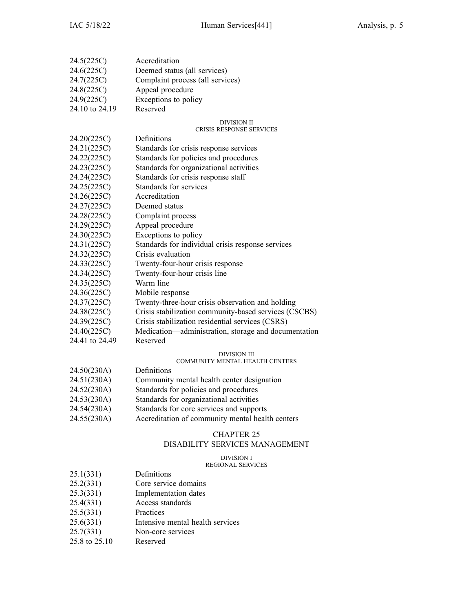| 24.5(225C)     | Accreditation                                         |
|----------------|-------------------------------------------------------|
| 24.6(225C)     | Deemed status (all services)                          |
| 24.7(225C)     | Complaint process (all services)                      |
| 24.8(225C)     | Appeal procedure                                      |
| 24.9(225C)     | Exceptions to policy                                  |
| 24.10 to 24.19 | Reserved                                              |
|                |                                                       |
|                | DIVISION II<br>CRISIS RESPONSE SERVICES               |
| 24.20(225C)    | Definitions                                           |
| 24.21(225C)    | Standards for crisis response services                |
| 24.22(225C)    | Standards for policies and procedures                 |
| 24.23(225C)    | Standards for organizational activities               |
| 24.24(225C)    | Standards for crisis response staff                   |
| 24.25(225C)    | Standards for services                                |
| 24.26(225C)    | Accreditation                                         |
| 24.27(225C)    | Deemed status                                         |
| 24.28(225C)    | Complaint process                                     |
| 24.29(225C)    | Appeal procedure                                      |
| 24.30(225C)    | Exceptions to policy                                  |
| 24.31(225C)    | Standards for individual crisis response services     |
| 24.32(225C)    | Crisis evaluation                                     |
| 24.33(225C)    | Twenty-four-hour crisis response                      |
| 24.34(225C)    | Twenty-four-hour crisis line                          |
| 24.35(225C)    | Warm line                                             |
| 24.36(225C)    | Mobile response                                       |
| 24.37(225C)    | Twenty-three-hour crisis observation and holding      |
| 24.38(225C)    | Crisis stabilization community-based services (CSCBS) |
| 24.39(225C)    | Crisis stabilization residential services (CSRS)      |
| 24.40(225C)    | Medication—administration, storage and documentation  |
| 24.41 to 24.49 | Reserved                                              |
|                | DIVISION III                                          |
|                | COMMUNITY MENTAL HEALTH CENTERS                       |
| 24.50(230A)    | Definitions                                           |
| 24.51(230A)    | Community mental health center designation            |
| 24.52(230A)    | Standards for policies and procedures                 |
| 24.53(230A)    | Standards for organizational activities               |
| 24.54(230A)    | Standards for core services and supports              |
| 24.55(230A)    | Accreditation of community mental health centers      |
|                |                                                       |
|                | <b>CHAPTER 25</b>                                     |
|                | DISABILITY SERVICES MANAGEMENT                        |
|                | <b>DIVISION I</b>                                     |
|                | <b>REGIONAL SERVICES</b>                              |
| 25.1(331)      | Definitions                                           |
| 25.2(331)      | Core service domains                                  |
| 25.3(331)      | Implementation dates                                  |
| 25.4(331)      | Access standards                                      |
| 25.5(331)      | Practices                                             |
| 25.6(331)      | Intensive mental health services                      |
| 25.7(331)      | Non-core services                                     |

25.8 to 25.10 Reserved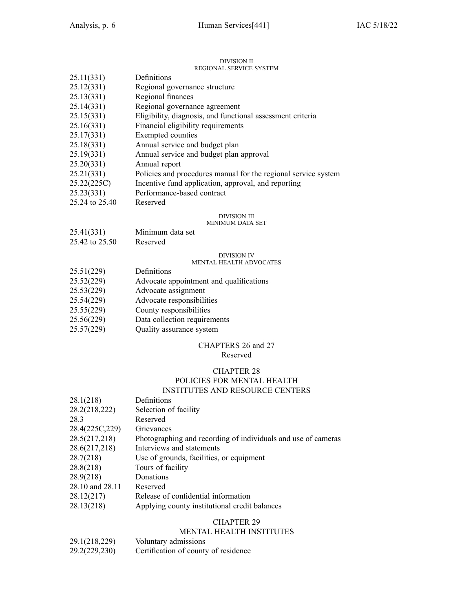#### DIVISION II DIVISION II<br>REGIONAL SEDVICE SVSTEM

|                | REGIONAL SERVICE SYSTEM                                        |
|----------------|----------------------------------------------------------------|
| 25.11(331)     | Definitions                                                    |
| 25.12(331)     | Regional governance structure                                  |
| 25.13(331)     | Regional finances                                              |
| 25.14(331)     | Regional governance agreement                                  |
| 25.15(331)     | Eligibility, diagnosis, and functional assessment criteria     |
| 25.16(331)     | Financial eligibility requirements                             |
| 25.17(331)     | Exempted counties                                              |
| 25.18(331)     | Annual service and budget plan                                 |
| 25.19(331)     | Annual service and budget plan approval                        |
| 25.20(331)     | Annual report                                                  |
| 25.21(331)     | Policies and procedures manual for the regional service system |
| 25.22(225C)    | Incentive fund application, approval, and reporting            |
| 25.23(331)     | Performance-based contract                                     |
| 25.24 to 25.40 | Reserved                                                       |
|                | DIVISION III                                                   |
|                | 1 <i>m</i> m <i>n</i> n <i>t</i> n + m + app                   |

### MINIMUM DATA SET

- 25.41(331) Minimum data set
- 25.42 to 25.50 Reserved

#### DIVISION IV MENTAL HEALTH ADVOCATES

| 25.51(229) | Definitions                             |
|------------|-----------------------------------------|
| 25.52(229) | Advocate appointment and qualifications |
| 25.53(229) | Advocate assignment                     |
| 25.54(229) | Advocate responsibilities               |
| 25.55(229) | County responsibilities                 |
| 25.56(229) | Data collection requirements            |
| 25.57(229) | Quality assurance system                |

# CHAPTERS 26 and 27

### Reserved

### CHAPTER 28 POLICIES FOR MENTAL HEALTH INSTITUTES AND RESOURCE CENTERS

| 28.1(218)       | Definitions                                                   |
|-----------------|---------------------------------------------------------------|
| 28.2(218,222)   | Selection of facility                                         |
| 28.3            | Reserved                                                      |
| 28.4(225C, 229) | Grievances                                                    |
| 28.5(217,218)   | Photographing and recording of individuals and use of cameras |
| 28.6(217,218)   | Interviews and statements                                     |
| 28.7(218)       | Use of grounds, facilities, or equipment                      |
| 28.8(218)       | Tours of facility                                             |
| 28.9(218)       | Donations                                                     |
| 28.10 and 28.11 | Reserved                                                      |
| 28.12(217)      | Release of confidential information                           |
| 28.13(218)      | Applying county institutional credit balances                 |
|                 |                                                               |

### CHAPTER 29

### MENTAL HEALTH INSTITUTES

| 29.1(218,229) | Voluntary admissions                 |
|---------------|--------------------------------------|
| 29.2(229,230) | Certification of county of residence |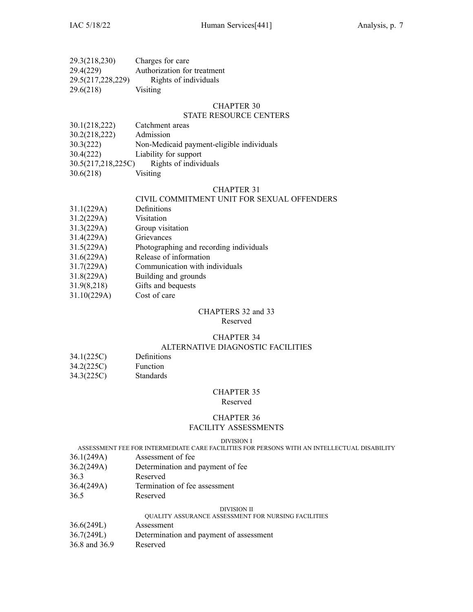| 29.3(218,230)     | Charges for care            |
|-------------------|-----------------------------|
| 29.4(229)         | Authorization for treatment |
| 29.5(217,228,229) | Rights of individuals       |
| 29.6(218)         | Visiting                    |

### STATE RESOURCE CENTERS

| 30.1(218,222) | Catchment areas                           |
|---------------|-------------------------------------------|
| 30.2(218,222) | Admission                                 |
| 30.3(222)     | Non-Medicaid payment-eligible individuals |
| 30.4(222)     | Liability for support                     |
|               |                                           |

- 30.5(217,218,225C) Rights of individuals
- 30.6(218) Visiting

#### CHAPTER 31

### CIVIL COMMITMENT UNIT FOR SEXUAL OFFENDERS

- 31.1(229A) Definitions
- 31.2(229A) Visitation
- 31.3(229A) Group visitation
- 31.4(229A) Grievances
- 31.5(229A) Photographing and recording individuals
- 31.6(229A) Release of information
- 31.7(229A) Communication with individuals
- 31.8(229A) Building and grounds
- 31.9(8,218) Gifts and bequests
- 31.10(229A) Cost of care

#### CHAPTERS 32 and 33 Reserved

# CHAPTER 34

### ALTERNATIVE DIAGNOSTIC FACILITIES

- 34.1(225C) Definitions 34.2(225C) Function
- 34.3(225C) Standards

### CHAPTER 35

#### Reserved

### CHAPTER 36

### FACILITY ASSESSMENTS

#### DIVISION I

ASSESSMENT FEE FOR INTERMEDIATE CARE FACILITIES FOR PERSONS WITH AN INTELLECTUAL DISABILITY

- 36.1(249A) Assessment of fee
- 36.2(249A) Determination and paymen<sup>t</sup> of fee
- 36.3 Reserved
- 36.4(249A) Termination of fee assessment
- 36.5 Reserved

#### DIVISION II

### QUALITY ASSURANCE ASSESSMENT FOR NURSING FACILITIES

- 36.6(249L) Assessment
- 36.7(249L) Determination and paymen<sup>t</sup> of assessment
- 36.8 and 36.9 Reserved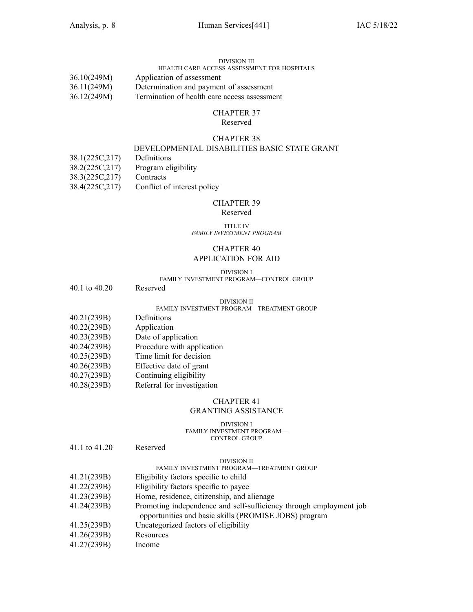### DIVISION III

### HEALTH CARE ACCESS ASSESSMENT FOR HOSPITALS 36.10(249M) Application of assessment 36.11(249M) Determination and paymen<sup>t</sup> of assessment

36.12(249M) Termination of health care access assessment

### CHAPTER 37

Reserved

#### CHAPTER 38

### DEVELOPMENTAL DISABILITIES BASIC STATE GRANT

- 38.1(225C,217) Definitions
- 38.2(225C,217) Program eligibility
- 38.3(225C,217) Contracts
- 38.4(225C,217) Conflict of interest policy

#### CHAPTER 39

### Reserved

#### TITLE IV *FAMILY INVESTMENT PROGRAM*

### CHAPTER 40 APPLICATION FOR AID

#### DIVISION I

### FAMILY INVESTMENT PROGRAM—CONTROL GROUP

40.1 to 40.20 Reserved

#### DIVISION II

#### FAMILY INVESTMENT PROGRAM—TREATMENT GROUP

- 40.21(239B) Definitions
- 40.22(239B) Application
- 40.23(239B) Date of application
- 40.24(239B) Procedure with application
- 40.25(239B) Time limit for decision
- 40.26(239B) Effective date of gran<sup>t</sup>
- 40.27(239B) Continuing eligibility
- 40.28(239B) Referral for investigation

#### CHAPTER 41

### GRANTING ASSISTANCE

#### DIVISION I FAMILY INVESTMENT PROGRAM— CONTROL GROUP

41.1 to 41.20 Reserved

#### DIVISION II

### FAMILY INVESTMENT PROGRAM—TREATMENT GROUP

- 41.21(239B) Eligibility factors specific to child
- 41.22(239B) Eligibility factors specific to payee
- 41.23(239B) Home, residence, citizenship, and alienage
- 41.24(239B) Promoting independence and self-sufficiency through employment job opportunities and basic skills (PROMISE JOBS) program
- 41.25(239B) Uncategorized factors of eligibility
- 41.26(239B) Resources
- 41.27(239B) Income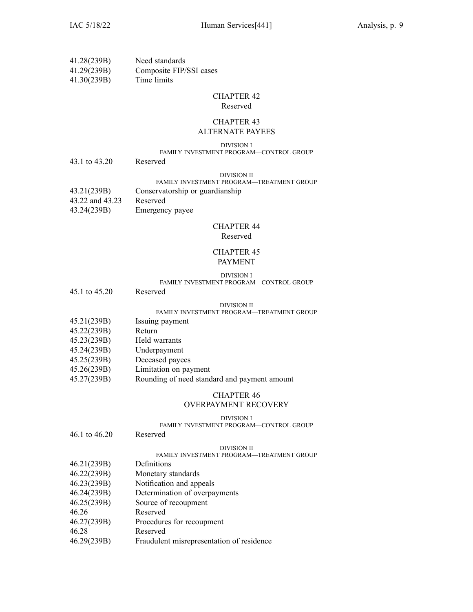| 41.28(239B) | Need standards          |
|-------------|-------------------------|
| 41.29(239B) | Composite FIP/SSI cases |
| 41.30(239B) | Time limits             |

### Reserved

### CHAPTER 43 ALTERNATE PAYEES

#### DIVISION I

#### FAMILY INVESTMENT PROGRAM—CONTROL GROUP

43.1 to 43.20 Reserved

#### DIVISION II

#### FAMILY INVESTMENT PROGRAM—TREATMENT GROUP

| 43.21(239B)     | Conservatorship or guardianship |
|-----------------|---------------------------------|
| 43.22 and 43.23 | Reserved                        |
| 43.24(239B)     | Emergency payee                 |

### CHAPTER 44

### Reserved

### CHAPTER 45 PAYMENT

#### DIVISION I

#### FAMILY INVESTMENT PROGRAM—CONTROL GROUP

#### DIVISION II

### FAMILY INVESTMENT PROGRAM—TREATMENT GROUP

- 45.21(239B) Issuing paymen<sup>t</sup>
- 45.22(239B) Return
- 45.23(239B) Held warrants
- 45.24(239B) Underpayment
- 45.25(239B) Deceased payees
- 45.26(239B) Limitation on paymen<sup>t</sup>
- 45.27(239B) Rounding of need standard and paymen<sup>t</sup> amount

# CHAPTER 46

### OVERPAYMENT RECOVERY

#### DIVISION I

### FAMILY INVESTMENT PROGRAM—CONTROL GROUP

|                 | TAMILI IN VLOTMLNI TROURAM—CONTROL UROCI  |
|-----------------|-------------------------------------------|
| 46.1 to $46.20$ | Reserved                                  |
|                 | DIVISION II                               |
|                 | FAMILY INVESTMENT PROGRAM—TREATMENT GROUP |
| 46.21(239B)     | Definitions                               |
| 46.22(239B)     | Monetary standards                        |
| 46.23(239B)     | Notification and appeals                  |
| 46.24(239B)     | Determination of overpayments             |
| 46.25(239B)     | Source of recoupment                      |
| 46.26           | Reserved                                  |
| 46.27(239B)     | Procedures for recoupment                 |
| 46.28           | Reserved                                  |
|                 |                                           |

46.29(239B) Fraudulent misrepresentation of residence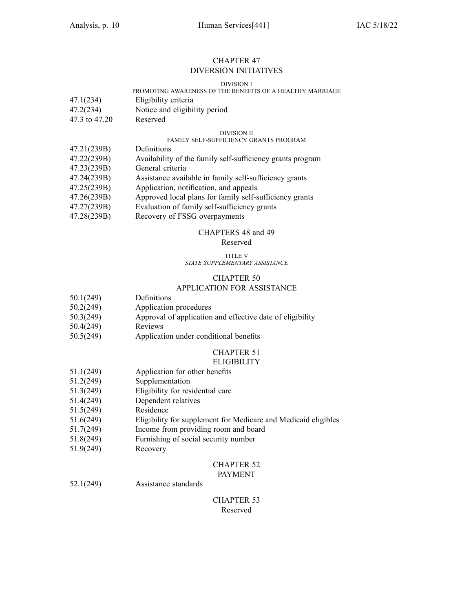### CHAPTER 47 DIVERSION INITIATIVES

#### DIVISION I

### PROMOTING AWARENESS OF THE BENEFITS OF A HEALTHY MARRIAGE

| 47.1(234) | Eligibility criteria |
|-----------|----------------------|
|           |                      |

- 47.2(234) Notice and eligibility period
- 47.3 to 47.20 Reserved

#### DIVISION II

### FAMILY SELF-SUFFICIENCY GRANTS PROGRAM

- 47.21(239B) Definitions
- 47.22(239B) Availability of the family self-sufficiency grants program
- 47.23(239B) General criteria
- 47.24(239B) Assistance available in family self-sufficiency grants
- 47.25(239B) Application, notification, and appeals
- 47.26(239B) Approved local plans for family self-sufficiency grants
- 47.27(239B) Evaluation of family self-sufficiency grants
- 47.28(239B) Recovery of FSSG overpayments

#### CHAPTERS 48 and 49

### Reserved

#### TITLE V *STATE SUPPLEMENTARY ASSISTANCE*

### CHAPTER 50

#### APPLICATION FOR ASSISTANCE

- 50.1(249) Definitions
- 50.2(249) Application procedures
- 50.3(249) Approval of application and effective date of eligibility
- 50.4(249) Reviews
- 50.5(249) Application under conditional benefits

#### CHAPTER 51 **ELIGIBILITY**

- 51.1(249) Application for other benefits
- 51.2(249) Supplementation
- 51.3(249) Eligibility for residential care
- 51.4(249) Dependent relatives
- 51.5(249) Residence
- 51.6(249) Eligibility for supplement for Medicare and Medicaid eligibles
- 51.7(249) Income from providing room and board
- 51.8(249) Furnishing of social security number
- 51.9(249) Recovery

#### CHAPTER 52 PAYMENT

52.1(249) Assistance standards

### CHAPTER 53 Reserved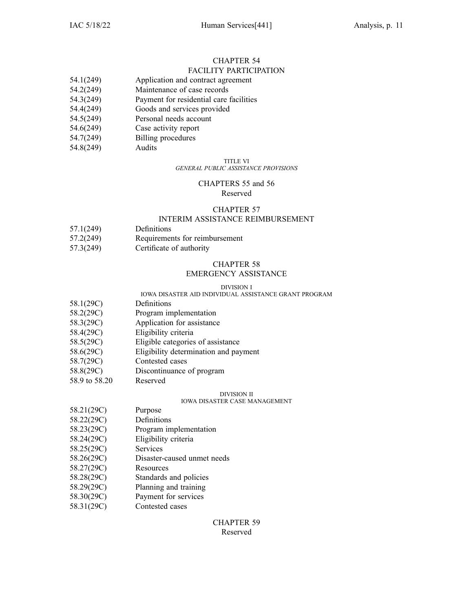#### CHAPTER 54 FACILITY PARTICIPATION

- 54.1(249) Application and contract agreemen<sup>t</sup>
- 54.2(249) Maintenance of case records
- 54.3(249) Payment for residential care facilities
- 54.4(249) Goods and services provided
- 54.5(249) Personal needs account
- 54.6(249) Case activity repor<sup>t</sup>
- 54.7(249) Billing procedures
- 54.8(249) Audits

### TITLE VI

### *GENERAL PUBLIC ASSISTANCE PROVISIONS*

### CHAPTERS 55 and 56 Reserved

### CHAPTER 57

### INTERIM ASSISTANCE REIMBURSEMENT

- 57.1(249) Definitions
- 57.2(249) Requirements for reimbursement
- 57.3(249) Certificate of authority

### CHAPTER 58

### EMERGENCY ASSISTANCE

#### DIVISION I

### IOWA DISASTER AID INDIVIDUAL ASSISTANCE GRANT PROGRAM

- 58.1(29C) Definitions
- 58.2(29C) Program implementation
- 58.3(29C) Application for assistance
- 58.4(29C) Eligibility criteria
- 58.5(29C) Eligible categories of assistance
- 58.6(29C) Eligibility determination and paymen<sup>t</sup>
- 58.7(29C) Contested cases
- 58.8(29C) Discontinuance of program
- 58.9 to 58.20 Reserved

### DIVISION II

### IOWA DISASTER CASE MANAGEMENT

- 58.21(29C) Purpose
- 58.22(29C) Definitions
- 58.23(29C) Program implementation
- 58.24(29C) Eligibility criteria
- 58.25(29C) Services
- 58.26(29C) Disaster-caused unmet needs
- 58.27(29C) Resources
- 58.28(29C) Standards and policies
- 58.29(29C) Planning and training
- 58.30(29C) Payment for services
- 58.31(29C) Contested cases

### CHAPTER 59 Reserved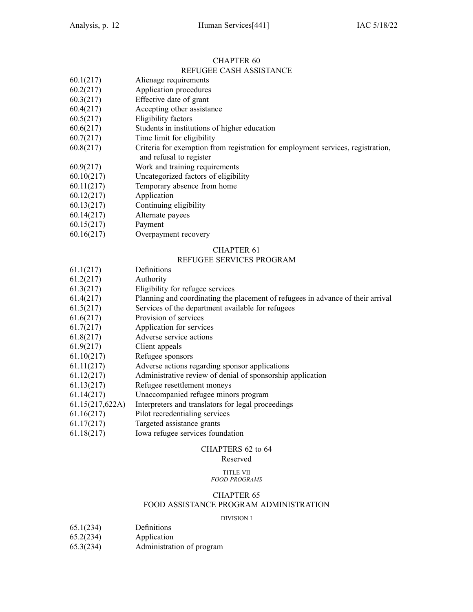#### CHAPTER 60 REFUGEE CASH ASSISTANCE

- 60.1(217) Alienage requirements
- 60.2(217) Application procedures
- 60.3(217) Effective date of gran<sup>t</sup>
- 60.4(217) Accepting other assistance
- 60.5(217) Eligibility factors
- 60.6(217) Students in institutions of higher education
- 60.7(217) Time limit for eligibility
- 60.8(217) Criteria for exemption from registration for employment services, registration,
- and refusal to register
- 60.9(217) Work and training requirements
- 60.10(217) Uncategorized factors of eligibility
- 60.11(217) Temporary absence from home
- 60.12(217) Application
- 60.13(217) Continuing eligibility
- 60.14(217) Alternate payees
- 60.15(217) Payment
- 60.16(217) Overpayment recovery

### CHAPTER 61

### REFUGEE SERVICES PROGRAM

- 61.1(217) Definitions
- 61.2(217) Authority
- 61.3(217) Eligibility for refugee services
- 61.4(217) Planning and coordinating the placement of refugees in advance of their arrival
- 61.5(217) Services of the department available for refugees
- 61.6(217) Provision of services
- 61.7(217) Application for services
- 61.8(217) Adverse service actions
- 61.9(217) Client appeals
- 61.10(217) Refugee sponsors
- 61.11(217) Adverse actions regarding sponsor applications
- 61.12(217) Administrative review of denial of sponsorship application
- 61.13(217) Refugee resettlement moneys
- 61.14(217) Unaccompanied refugee minors program
- 61.15(217,622A) Interpreters and translators for legal proceedings
- 61.16(217) Pilot recredentialing services
- 61.17(217) Targeted assistance grants
- 61.18(217) Iowa refugee services foundation

### CHAPTERS 62 to 64

### Reserved

#### TITLE VII *FOOD PROGRAMS*

### CHAPTER 65

### FOOD ASSISTANCE PROGRAM ADMINISTRATION

#### DIVISION I

- 65.1(234) Definitions
- 65.2(234) Application
- 65.3(234) Administration of program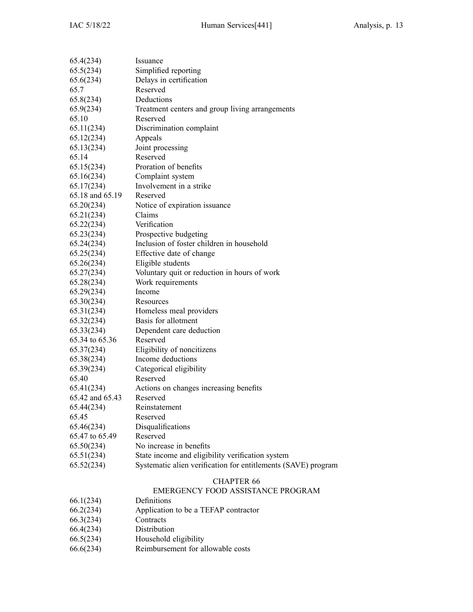| 65.4(234)       | Issuance                                                      |
|-----------------|---------------------------------------------------------------|
| 65.5(234)       | Simplified reporting                                          |
| 65.6(234)       | Delays in certification                                       |
| 65.7            | Reserved                                                      |
| 65.8(234)       | Deductions                                                    |
| 65.9(234)       | Treatment centers and group living arrangements               |
| 65.10           | Reserved                                                      |
| 65.11(234)      | Discrimination complaint                                      |
| 65.12(234)      | Appeals                                                       |
| 65.13(234)      | Joint processing                                              |
| 65.14           | Reserved                                                      |
| 65.15(234)      | Proration of benefits                                         |
| 65.16(234)      | Complaint system                                              |
| 65.17(234)      | Involvement in a strike                                       |
| 65.18 and 65.19 | Reserved                                                      |
| 65.20(234)      | Notice of expiration issuance                                 |
| 65.21(234)      | Claims                                                        |
| 65.22(234)      | Verification                                                  |
| 65.23(234)      | Prospective budgeting                                         |
| 65.24(234)      | Inclusion of foster children in household                     |
| 65.25(234)      | Effective date of change                                      |
| 65.26(234)      | Eligible students                                             |
| 65.27(234)      | Voluntary quit or reduction in hours of work                  |
| 65.28(234)      | Work requirements                                             |
| 65.29(234)      | Income                                                        |
| 65.30(234)      | Resources                                                     |
| 65.31(234)      | Homeless meal providers                                       |
| 65.32(234)      | Basis for allotment                                           |
| 65.33(234)      | Dependent care deduction                                      |
| 65.34 to 65.36  | Reserved                                                      |
| 65.37(234)      | Eligibility of noncitizens                                    |
| 65.38(234)      | Income deductions                                             |
| 65.39(234)      | Categorical eligibility                                       |
| 65.40           | Reserved                                                      |
| 65.41(234)      | Actions on changes increasing benefits                        |
| 65.42 and 65.43 | Reserved                                                      |
| 65.44(234)      | Reinstatement                                                 |
| 65.45           | Reserved                                                      |
| 65.46(234)      | Disqualifications                                             |
| 65.47 to 65.49  | Reserved                                                      |
| 65.50(234)      | No increase in benefits                                       |
| 65.51(234)      | State income and eligibility verification system              |
| 65.52(234)      | Systematic alien verification for entitlements (SAVE) program |
|                 |                                                               |
|                 |                                                               |

### EMERGENCY FOOD ASSISTANCE PROGRAM

- 66.1(234) Definitions
- $66.2(234)$  Application to be a TEFAP contractor  $66.3(234)$  Contracts
- $66.3(234)$
- 66.4(234) Distribution
- 
- 66.5(234) Household eligibility<br>66.6(234) Reimbursement for al Reimbursement for allowable costs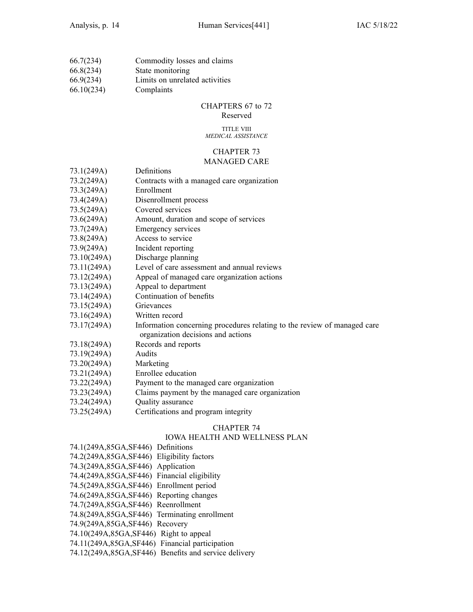| 66.7(234)  | Commodity losses and claims    |
|------------|--------------------------------|
| 66.8(234)  | State monitoring               |
| 66.9(234)  | Limits on unrelated activities |
| 66.10(234) | Complaints                     |

### CHAPTERS 67 to 72

Reserved

#### TITLE VIII *MEDICAL ASSISTANCE*

### CHAPTER 73 MANAGED CARE

| 73.1(249A)  | Definitions                                                                                                    |
|-------------|----------------------------------------------------------------------------------------------------------------|
| 73.2(249A)  | Contracts with a managed care organization                                                                     |
| 73.3(249A)  | Enrollment                                                                                                     |
| 73.4(249A)  | Disenrollment process                                                                                          |
| 73.5(249A)  | Covered services                                                                                               |
| 73.6(249A)  | Amount, duration and scope of services                                                                         |
| 73.7(249A)  | Emergency services                                                                                             |
| 73.8(249A)  | Access to service                                                                                              |
| 73.9(249A)  | Incident reporting                                                                                             |
| 73.10(249A) | Discharge planning                                                                                             |
| 73.11(249A) | Level of care assessment and annual reviews                                                                    |
| 73.12(249A) | Appeal of managed care organization actions                                                                    |
| 73.13(249A) | Appeal to department                                                                                           |
| 73.14(249A) | Continuation of benefits                                                                                       |
| 73.15(249A) | Grievances                                                                                                     |
| 73.16(249A) | Written record                                                                                                 |
| 73.17(249A) | Information concerning procedures relating to the review of managed care<br>organization decisions and actions |
| 73.18(249A) | Records and reports                                                                                            |
| 73.19(249A) | Audits                                                                                                         |
| 73.20(249A) | Marketing                                                                                                      |
| 73.21(249A) | Enrollee education                                                                                             |
| 73.22(249A) | Payment to the managed care organization                                                                       |
| 72.221      |                                                                                                                |

- 73.23(249A) Claims paymen<sup>t</sup> by the managed care organization
- 73.24(249A) Quality assurance
- 73.25(249A) Certifications and program integrity

### CHAPTER 74

### IOWA HEALTH AND WELLNESS PLAN

| 74.1(249A,85GA,SF446) Definitions                    |
|------------------------------------------------------|
| 74.2(249A,85GA,SF446) Eligibility factors            |
| 74.3(249A,85GA,SF446) Application                    |
| 74.4(249A,85GA,SF446) Financial eligibility          |
| 74.5(249A,85GA,SF446) Enrollment period              |
| 74.6(249A,85GA,SF446) Reporting changes              |
| 74.7(249A,85GA,SF446) Reenrollment                   |
| 74.8(249A,85GA,SF446) Terminating enrollment         |
| 74.9(249A,85GA,SF446) Recovery                       |
| 74.10(249A,85GA,SF446) Right to appeal               |
| 74.11(249A,85GA,SF446) Financial participation       |
| 74.12(249A,85GA,SF446) Benefits and service delivery |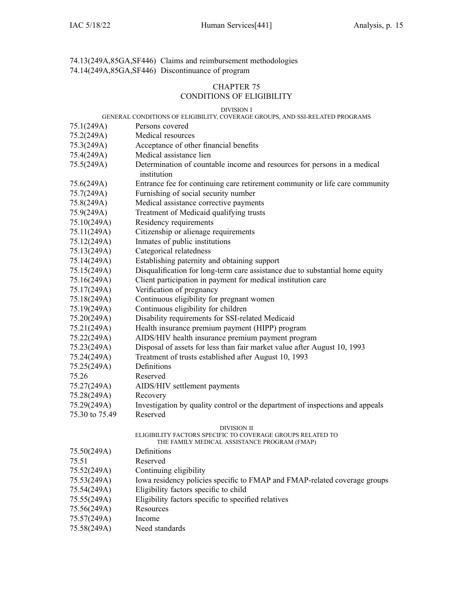74.13(249A,85GA,SF446) Claims and reimbursement methodologies 74.14(249A,85GA,SF446) Discontinuance of program

### CHAPTER 75

### CONDITIONS OF ELIGIBILITY

#### DIVISION I

#### GENERAL CONDITIONS OF ELIGIBILITY, COVERAGE GROUPS, AND SSI-RELATED PROGRAMS

- 75.1(249A) Persons covered
- 75.2(249A) Medical resources
- 75.3(249A) Acceptance of other financial benefits
- 75.4(249A) Medical assistance lien
- 75.5(249A) Determination of countable income and resources for persons in <sup>a</sup> medical institution
- 75.6(249A) Entrance fee for continuing care retirement community or life care community
- 75.7(249A) Furnishing of social security number
- 75.8(249A) Medical assistance corrective payments
- 75.9(249A) Treatment of Medicaid qualifying trusts
- 75.10(249A) Residency requirements
- 75.11(249A) Citizenship or alienage requirements
- 75.12(249A) Inmates of public institutions
- 75.13(249A) Categorical relatedness
- 75.14(249A) Establishing paternity and obtaining suppor<sup>t</sup>
- 75.15(249A) Disqualification for long-term care assistance due to substantial home equity
- 75.16(249A) Client participation in paymen<sup>t</sup> for medical institution care
- 75.17(249A) Verification of pregnancy
- 75.18(249A) Continuous eligibility for pregnan<sup>t</sup> women
- 75.19(249A) Continuous eligibility for children
- 75.20(249A) Disability requirements for SSI-related Medicaid
- 75.21(249A) Health insurance premium paymen<sup>t</sup> (HIPP) program
- 75.22(249A) AIDS/HIV health insurance premium paymen<sup>t</sup> program
- 75.23(249A) Disposal of assets for less than fair market value after August 10, 1993
- 75.24(249A) Treatment of trusts established after August 10, 1993
- 75.25(249A) Definitions
- 75.26 Reserved
- 75.27(249A) AIDS/HIV settlement payments
- 75.28(249A) Recovery
- 75.29(249A) Investigation by quality control or the department of inspections and appeals
- 75.30 to 75.49 Reserved

#### DIVISION II

### ELIGIBILITY FACTORS SPECIFIC TO COVERAGE GROUPS RELATED TO

|  | THE FAMILY MEDICAL ASSISTANCE PROGRAM (FMAP) |  |
|--|----------------------------------------------|--|
|  |                                              |  |

| 75.50(249A)                                                                                                                                                                                                                                                                                                                                                                          | Definitions                                                               |
|--------------------------------------------------------------------------------------------------------------------------------------------------------------------------------------------------------------------------------------------------------------------------------------------------------------------------------------------------------------------------------------|---------------------------------------------------------------------------|
| 75.51                                                                                                                                                                                                                                                                                                                                                                                | Reserved                                                                  |
| 75.52(249A)                                                                                                                                                                                                                                                                                                                                                                          | Continuing eligibility                                                    |
| 75.53(249A)                                                                                                                                                                                                                                                                                                                                                                          | Iowa residency policies specific to FMAP and FMAP-related coverage groups |
| 75.54(249A)                                                                                                                                                                                                                                                                                                                                                                          | Eligibility factors specific to child                                     |
| 75.55(249A)                                                                                                                                                                                                                                                                                                                                                                          | Eligibility factors specific to specified relatives                       |
| 75.56(249A)                                                                                                                                                                                                                                                                                                                                                                          | Resources                                                                 |
| 75.57(249A)                                                                                                                                                                                                                                                                                                                                                                          | Income                                                                    |
| $\overline{a}$ $\overline{a}$ $\overline{a}$ $\overline{a}$ $\overline{a}$ $\overline{a}$ $\overline{a}$ $\overline{a}$ $\overline{a}$ $\overline{a}$ $\overline{a}$ $\overline{a}$ $\overline{a}$ $\overline{a}$ $\overline{a}$ $\overline{a}$ $\overline{a}$ $\overline{a}$ $\overline{a}$ $\overline{a}$ $\overline{a}$ $\overline{a}$ $\overline{a}$ $\overline{a}$ $\overline{$ | 37.1.1                                                                    |

75.58(249A) Need standards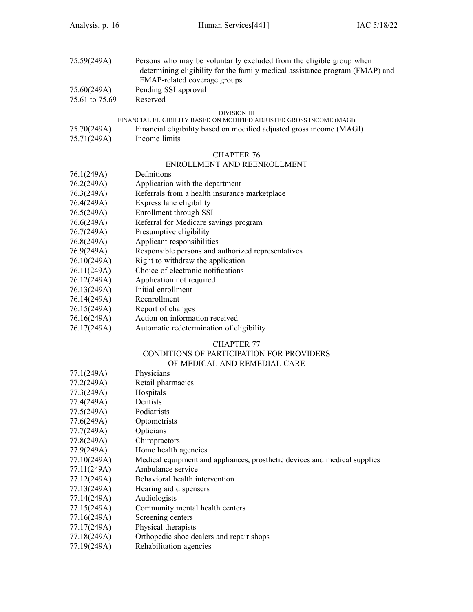| 75.59(249A)    | Persons who may be voluntarily excluded from the eligible group when<br>determining eligibility for the family medical assistance program (FMAP) and |
|----------------|------------------------------------------------------------------------------------------------------------------------------------------------------|
|                | FMAP-related coverage groups                                                                                                                         |
| 75.60(249A)    | Pending SSI approval                                                                                                                                 |
| 75.61 to 75.69 | Reserved                                                                                                                                             |

#### DIVISION III

### FINANCIAL ELIGIBILITY BASED ON MODIFIED ADJUSTED GROSS INCOME (MAGI)

| 75.70(249A) | Financial eligibility based on modified adjusted gross income (MAGI) |  |  |
|-------------|----------------------------------------------------------------------|--|--|
|             |                                                                      |  |  |

75.71(249A) Income limits

### CHAPTER 76

### ENROLLMENT AND REENROLLMENT

| 76.1(249A)              | Definitions                                        |
|-------------------------|----------------------------------------------------|
| 76.2(249A)              | Application with the department                    |
| 76.3(249A)              | Referrals from a health insurance marketplace      |
| 76.4(249A)              | Express lane eligibility                           |
| 76.5(249A)              | Enrollment through SSI                             |
| 76.6(249A)              | Referral for Medicare savings program              |
| 76.7(249A)              | Presumptive eligibility                            |
| 76.8(249A)              | Applicant responsibilities                         |
| 76.9(249A)              | Responsible persons and authorized representatives |
| 76.10(249A)             | Right to withdraw the application                  |
| 76.11(249A)             | Choice of electronic notifications                 |
| 76.12(249A)             | Application not required                           |
| 76.13(249A)             | Initial enrollment                                 |
| 76.14(249A)             | Reenrollment                                       |
| $\pi$ (1 $\pi$ (0.10.1) | <b>P</b> $\sqrt{1}$                                |

- 76.15(249A) Report of changes
- 76.16(249A) Action on information received
- 76.17(249A) Automatic redetermination of eligibility

### CHAPTER 77

# CONDITIONS OF PARTICIPATION FOR PROVIDERS

|                      | OF MEDICAL AND REMEDIAL CARE |  |
|----------------------|------------------------------|--|
| $771(240 \text{ A})$ | <b>Physicians</b>            |  |

| 11.1(249A)  | <b>PHYSICIALIS</b>                                                        |
|-------------|---------------------------------------------------------------------------|
| 77.2(249A)  | Retail pharmacies                                                         |
| 77.3(249A)  | Hospitals                                                                 |
| 77.4(249A)  | Dentists                                                                  |
| 77.5(249A)  | Podiatrists                                                               |
| 77.6(249A)  | Optometrists                                                              |
| 77.7(249A)  | Opticians                                                                 |
| 77.8(249A)  | Chiropractors                                                             |
| 77.9(249A)  | Home health agencies                                                      |
| 77.10(249A) | Medical equipment and appliances, prosthetic devices and medical supplies |
| 77.11(249A) | Ambulance service                                                         |
| 77.12(249A) | Behavioral health intervention                                            |
| 77.13(249A) | Hearing aid dispensers                                                    |
| 77.14(249A) | Audiologists                                                              |
| 77.15(249A) | Community mental health centers                                           |
| 77.16(249A) | Screening centers                                                         |
| 77.17(249A) | Physical therapists                                                       |
| 77.18(249A) | Orthopedic shoe dealers and repair shops                                  |
| 77.19(249A) | Rehabilitation agencies                                                   |
|             |                                                                           |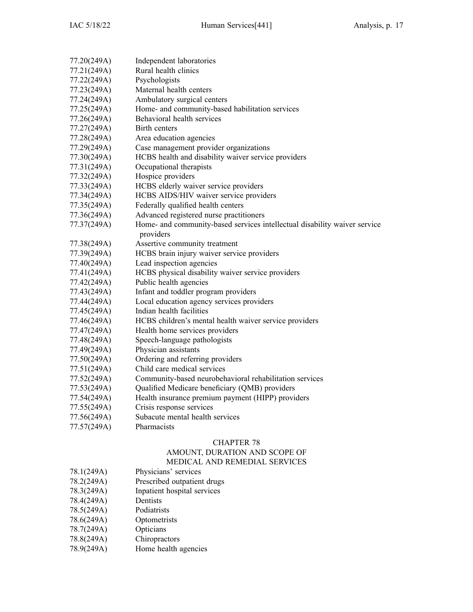| 77.20(249A) | Independent laboratories                                                               |
|-------------|----------------------------------------------------------------------------------------|
| 77.21(249A) | Rural health clinics                                                                   |
| 77.22(249A) | Psychologists                                                                          |
| 77.23(249A) | Maternal health centers                                                                |
| 77.24(249A) | Ambulatory surgical centers                                                            |
| 77.25(249A) | Home- and community-based habilitation services                                        |
| 77.26(249A) | Behavioral health services                                                             |
| 77.27(249A) | Birth centers                                                                          |
| 77.28(249A) | Area education agencies                                                                |
| 77.29(249A) | Case management provider organizations                                                 |
| 77.30(249A) | HCBS health and disability waiver service providers                                    |
| 77.31(249A) | Occupational therapists                                                                |
| 77.32(249A) | Hospice providers                                                                      |
| 77.33(249A) | HCBS elderly waiver service providers                                                  |
| 77.34(249A) | HCBS AIDS/HIV waiver service providers                                                 |
| 77.35(249A) | Federally qualified health centers                                                     |
| 77.36(249A) | Advanced registered nurse practitioners                                                |
| 77.37(249A) | Home- and community-based services intellectual disability waiver service<br>providers |
| 77.38(249A) | Assertive community treatment                                                          |
| 77.39(249A) | HCBS brain injury waiver service providers                                             |
| 77.40(249A) | Lead inspection agencies                                                               |
| 77.41(249A) | HCBS physical disability waiver service providers                                      |
| 77.42(249A) | Public health agencies                                                                 |
| 77.43(249A) | Infant and toddler program providers                                                   |
| 77.44(249A) | Local education agency services providers                                              |
| 77.45(249A) | Indian health facilities                                                               |
| 77.46(249A) | HCBS children's mental health waiver service providers                                 |
| 77.47(249A) | Health home services providers                                                         |
| 77.48(249A) | Speech-language pathologists                                                           |
| 77.49(249A) | Physician assistants                                                                   |
| 77.50(249A) | Ordering and referring providers                                                       |
| 77.51(249A) | Child care medical services                                                            |
| 77.52(249A) | Community-based neurobehavioral rehabilitation services                                |
| 77.53(249A) | Qualified Medicare beneficiary (QMB) providers                                         |
| 77.54(249A) | Health insurance premium payment (HIPP) providers                                      |
| 77.55(249A) | Crisis response services                                                               |
| 77.56(249A) | Subacute mental health services                                                        |
| 77.57(249A) | Pharmacists                                                                            |
|             |                                                                                        |

### AMOUNT, DURATION AND SCOPE OF MEDICAL AND REMEDIAL SERVICES

| 78.1(249A) | Physicians' services |  |
|------------|----------------------|--|
|            |                      |  |

- 78.2(249A) Prescribed outpatient drugs
- 78.3(249A) Inpatient hospital services<br>78.4(249A) Dentists
- 78.4(249A) Dentists<br>78.5(249A) Podiatrists
- 78.5(249A)<br>78.6(249A)
- Optometrists
- 78.7(249A) Opticians
- 78.8(249A) Chiropractors<br>78.9(249A) Home health a
- Home health agencies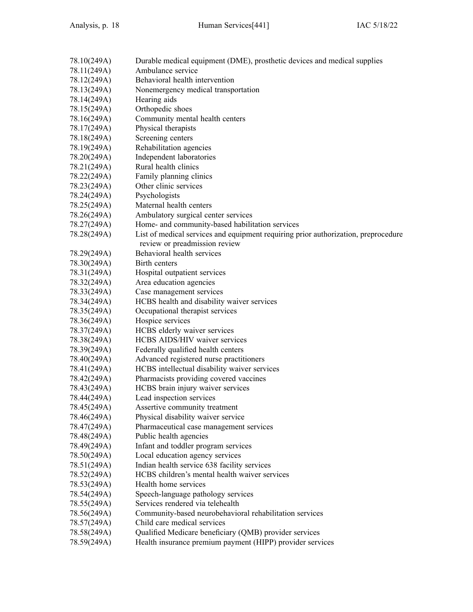| 78.10(249A)                | Durable medical equipment (DME), prosthetic devices and medical supplies               |
|----------------------------|----------------------------------------------------------------------------------------|
| 78.11(249A)                | Ambulance service                                                                      |
| 78.12(249A)                | Behavioral health intervention                                                         |
| 78.13(249A)                | Nonemergency medical transportation                                                    |
| 78.14(249A)                | Hearing aids                                                                           |
| 78.15(249A)                | Orthopedic shoes                                                                       |
| 78.16(249A)                | Community mental health centers                                                        |
| 78.17(249A)                | Physical therapists                                                                    |
| 78.18(249A)                | Screening centers                                                                      |
| 78.19(249A)                | Rehabilitation agencies                                                                |
| 78.20(249A)                | Independent laboratories                                                               |
| 78.21(249A)                | Rural health clinics                                                                   |
| 78.22(249A)                | Family planning clinics                                                                |
| 78.23(249A)                | Other clinic services                                                                  |
| 78.24(249A)                | Psychologists                                                                          |
| 78.25(249A)                | Maternal health centers                                                                |
| 78.26(249A)                | Ambulatory surgical center services                                                    |
| 78.27(249A)                | Home- and community-based habilitation services                                        |
| 78.28(249A)                | List of medical services and equipment requiring prior authorization, preprocedure     |
|                            | review or preadmission review                                                          |
| 78.29(249A)                | Behavioral health services                                                             |
| 78.30(249A)                | Birth centers                                                                          |
| 78.31(249A)                | Hospital outpatient services                                                           |
| 78.32(249A)                | Area education agencies                                                                |
| 78.33(249A)                | Case management services                                                               |
| 78.34(249A)                | HCBS health and disability waiver services                                             |
| 78.35(249A)                | Occupational therapist services                                                        |
| 78.36(249A)                | Hospice services                                                                       |
| 78.37(249A)                | HCBS elderly waiver services                                                           |
| 78.38(249A)                | HCBS AIDS/HIV waiver services                                                          |
| 78.39(249A)                | Federally qualified health centers                                                     |
|                            |                                                                                        |
| 78.40(249A)                | Advanced registered nurse practitioners                                                |
| 78.41(249A)                | HCBS intellectual disability waiver services<br>Pharmacists providing covered vaccines |
| 78.42(249A)<br>78.43(249A) | HCBS brain injury waiver services                                                      |
|                            |                                                                                        |
| 78.44(249A)<br>78.45(249A) | Lead inspection services                                                               |
|                            | Assertive community treatment                                                          |
| 78.46(249A)                | Physical disability waiver service                                                     |
| 78.47(249A)                | Pharmaceutical case management services                                                |
| 78.48(249A)                | Public health agencies                                                                 |
| 78.49(249A)                | Infant and toddler program services                                                    |
| 78.50(249A)                | Local education agency services                                                        |
| 78.51(249A)                | Indian health service 638 facility services                                            |
| 78.52(249A)                | HCBS children's mental health waiver services                                          |
| 78.53(249A)                | Health home services                                                                   |
| 78.54(249A)                | Speech-language pathology services                                                     |
| 78.55(249A)                | Services rendered via telehealth                                                       |
| 78.56(249A)                | Community-based neurobehavioral rehabilitation services                                |
| 78.57(249A)                | Child care medical services                                                            |
| 78.58(249A)                | Qualified Medicare beneficiary (QMB) provider services                                 |
| 78.59(249A)                | Health insurance premium payment (HIPP) provider services                              |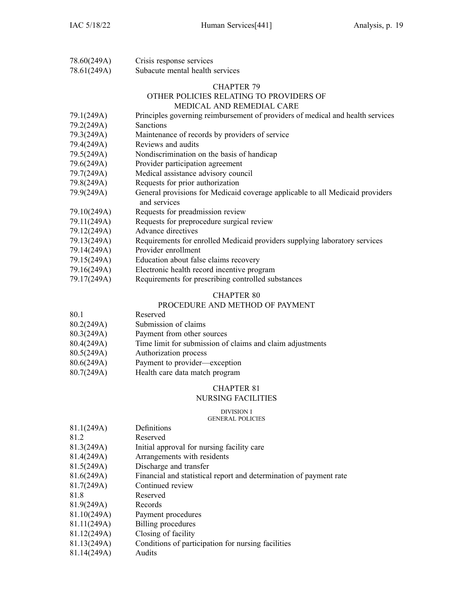| 78.60(249A) | Crisis response services        |
|-------------|---------------------------------|
| 78.61(249A) | Subacute mental health services |

#### OTHER POLICIES RELATING TO PROVIDERS OF MEDICAL AND REMEDIAL CARE

| 79.1(249A)             | Principles governing reimbursement of providers of medical and health services                |
|------------------------|-----------------------------------------------------------------------------------------------|
| 79.2(249A)             | <b>Sanctions</b>                                                                              |
| 79.3(249A)             | Maintenance of records by providers of service                                                |
| 79.4(249A)             | Reviews and audits                                                                            |
| 79.5(249A)             | Nondiscrimination on the basis of handicap                                                    |
| 79.6(249A)             | Provider participation agreement                                                              |
| 79.7(249A)             | Medical assistance advisory council                                                           |
| 79.8(249A)             | Requests for prior authorization                                                              |
| 79.9(249A)             | General provisions for Medicaid coverage applicable to all Medicaid providers<br>and services |
| 79.10(249A)            | Requests for preadmission review                                                              |
| 79.11(249A)            | Requests for preprocedure surgical review                                                     |
| 79.12(249A)            | Advance directives                                                                            |
| 79.13(249A)            | Requirements for enrolled Medicaid providers supplying laboratory services                    |
| $70.14(240 \text{ A})$ | $D_{\text{revidor}}$ orgallmant                                                               |

- 79.14(249A) Provider enrollment
- 79.15(249A) Education about false claims recovery
- 79.16(249A) Electronic health record incentive program
- 79.17(249A) Requirements for prescribing controlled substances

### CHAPTER 80

### PROCEDURE AND METHOD OF PAYMENT

- 80.1 Reserved
- 80.2(249A) Submission of claims
- 80.3(249A) Payment from other sources
- 80.4(249A) Time limit for submission of claims and claim adjustments
- 80.5(249A) Authorization process
- 80.6(249A) Payment to provider—exception
- 80.7(249A) Health care data match program

### CHAPTER 81

### NURSING FACILITIES

#### DIVISION I

### GENERAL POLICIES

| 81.1(249A)  | Definitions                                                        |
|-------------|--------------------------------------------------------------------|
| 81.2        | Reserved                                                           |
| 81.3(249A)  | Initial approval for nursing facility care                         |
| 81.4(249A)  | Arrangements with residents                                        |
| 81.5(249A)  | Discharge and transfer                                             |
| 81.6(249A)  | Financial and statistical report and determination of payment rate |
| 81.7(249A)  | Continued review                                                   |
| 81.8        | Reserved                                                           |
| 81.9(249A)  | Records                                                            |
| 81.10(249A) | Payment procedures                                                 |
| 81.11(249A) | <b>Billing</b> procedures                                          |
| 81.12(249A) | Closing of facility                                                |
| 81.13(249A) | Conditions of participation for nursing facilities                 |
| 81.14(249A) | Audits                                                             |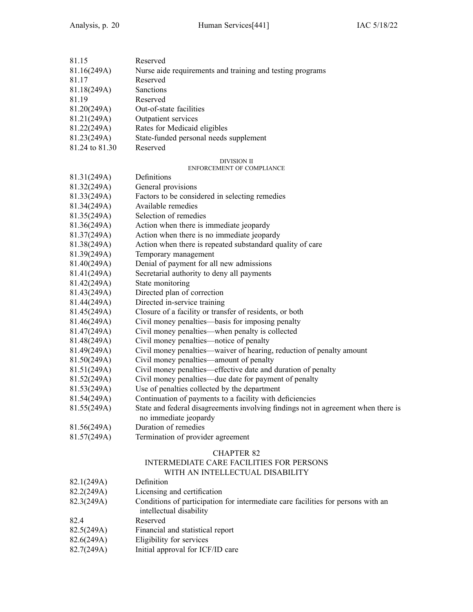| 81.15                      | Reserved                                                                                                        |
|----------------------------|-----------------------------------------------------------------------------------------------------------------|
| 81.16(249A)                | Nurse aide requirements and training and testing programs                                                       |
| 81.17                      | Reserved                                                                                                        |
| 81.18(249A)                | Sanctions                                                                                                       |
| 81.19                      | Reserved                                                                                                        |
| 81.20(249A)                | Out-of-state facilities                                                                                         |
| 81.21(249A)                | Outpatient services                                                                                             |
| 81.22(249A)                | Rates for Medicaid eligibles                                                                                    |
| 81.23(249A)                | State-funded personal needs supplement                                                                          |
| 81.24 to 81.30             | Reserved                                                                                                        |
|                            | DIVISION II                                                                                                     |
| 81.31(249A)                | <b>ENFORCEMENT OF COMPLIANCE</b><br>Definitions                                                                 |
| 81.32(249A)                | General provisions                                                                                              |
| 81.33(249A)                | Factors to be considered in selecting remedies                                                                  |
| 81.34(249A)                | Available remedies                                                                                              |
| 81.35(249A)                | Selection of remedies                                                                                           |
| 81.36(249A)                | Action when there is immediate jeopardy                                                                         |
| 81.37(249A)                | Action when there is no immediate jeopardy                                                                      |
|                            |                                                                                                                 |
| 81.38(249A)                | Action when there is repeated substandard quality of care                                                       |
| 81.39(249A)<br>81.40(249A) | Temporary management                                                                                            |
|                            | Denial of payment for all new admissions                                                                        |
| 81.41(249A)                | Secretarial authority to deny all payments                                                                      |
| 81.42(249A)                | State monitoring                                                                                                |
| 81.43(249A)                | Directed plan of correction                                                                                     |
| 81.44(249A)                | Directed in-service training                                                                                    |
| 81.45(249A)                | Closure of a facility or transfer of residents, or both                                                         |
| 81.46(249A)                | Civil money penalties—basis for imposing penalty                                                                |
| 81.47(249A)                | Civil money penalties—when penalty is collected                                                                 |
| 81.48(249A)                | Civil money penalties—notice of penalty                                                                         |
| 81.49(249A)                | Civil money penalties—waiver of hearing, reduction of penalty amount<br>Civil money penalties—amount of penalty |
| 81.50(249A)                |                                                                                                                 |
| 81.51(249A)                | Civil money penalties—effective date and duration of penalty                                                    |
| 81.52(249A)                | Civil money penalties—due date for payment of penalty                                                           |
| 81.53(249A)                | Use of penalties collected by the department                                                                    |
| 81.54(249A)                | Continuation of payments to a facility with deficiencies                                                        |
| 81.55(249A)                | State and federal disagreements involving findings not in agreement when there is                               |
|                            | no immediate jeopardy                                                                                           |
| 81.56(249A)                | Duration of remedies                                                                                            |
| 81.57(249A)                | Termination of provider agreement                                                                               |
|                            | <b>CHAPTER 82</b>                                                                                               |
|                            | <b>INTERMEDIATE CARE FACILITIES FOR PERSONS</b><br>WITH AN INTELLECTUAL DISABILITY                              |
| 82.1(249A)                 | Definition                                                                                                      |
| 82.2(249A)                 | Licensing and certification                                                                                     |
| 82.3(249A)                 | Conditions of participation for intermediate care facilities for persons with an                                |
|                            | intellectual disability                                                                                         |
| 82.4                       | Reserved                                                                                                        |
| 82.5(249A)                 | Financial and statistical report                                                                                |
| 82.6(249A)                 | Eligibility for services                                                                                        |
| 82.7(249A)                 | Initial approval for ICF/ID care                                                                                |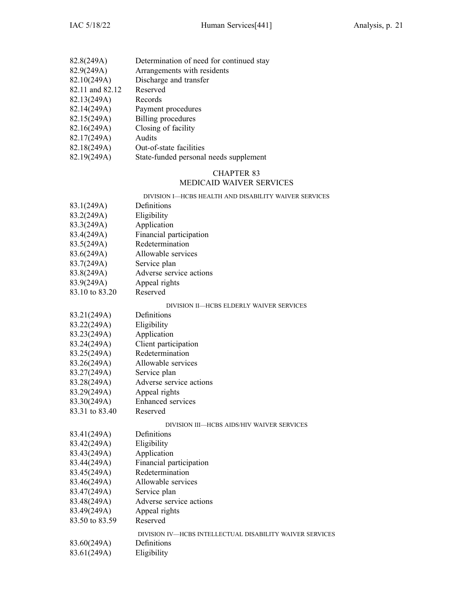| 82.8(249A)      | Determination of need for continued stay |
|-----------------|------------------------------------------|
| 82.9(249A)      | Arrangements with residents              |
| 82.10(249A)     | Discharge and transfer                   |
| 82.11 and 82.12 | Reserved                                 |
| 82.13(249A)     | Records                                  |
| 82.14(249A)     | Payment procedures                       |
| 82.15(249A)     | <b>Billing</b> procedures                |
| 82.16(249A)     | Closing of facility                      |
| 82.17(249A)     | Audits                                   |
| 82.18(249A)     | Out-of-state facilities                  |
| 82.19(249A)     | State-funded personal needs supplement   |

### CHAPTER 83 MEDICAID WAIVER SERVICES

DIVISION I—HCBS HEALTH AND DISABILITY WAIVER SERVICES

| 83.1(249A)     | Definitions                                              |
|----------------|----------------------------------------------------------|
| 83.2(249A)     | Eligibility                                              |
| 83.3(249A)     | Application                                              |
| 83.4(249A)     | Financial participation                                  |
| 83.5(249A)     | Redetermination                                          |
| 83.6(249A)     | Allowable services                                       |
| 83.7(249A)     | Service plan                                             |
| 83.8(249A)     | Adverse service actions                                  |
| 83.9(249A)     | Appeal rights                                            |
| 83.10 to 83.20 | Reserved                                                 |
|                | DIVISION II-HCBS ELDERLY WAIVER SERVICES                 |
| 83.21(249A)    | Definitions                                              |
| 83.22(249A)    | Eligibility                                              |
| 83.23(249A)    | Application                                              |
| 83.24(249A)    | Client participation                                     |
| 83.25(249A)    | Redetermination                                          |
| 83.26(249A)    | Allowable services                                       |
| 83.27(249A)    | Service plan                                             |
| 83.28(249A)    | Adverse service actions                                  |
| 83.29(249A)    | Appeal rights                                            |
| 83.30(249A)    | Enhanced services                                        |
| 83.31 to 83.40 | Reserved                                                 |
|                | DIVISION III-HCBS AIDS/HIV WAIVER SERVICES               |
| 83.41(249A)    | Definitions                                              |
| 83.42(249A)    | Eligibility                                              |
| 83.43(249A)    | Application                                              |
| 83.44(249A)    | Financial participation                                  |
| 83.45(249A)    | Redetermination                                          |
| 83.46(249A)    | Allowable services                                       |
| 83.47(249A)    | Service plan                                             |
| 83.48(249A)    | Adverse service actions                                  |
| 83.49(249A)    | Appeal rights                                            |
| 83.50 to 83.59 | Reserved                                                 |
|                | DIVISION IV-HCBS INTELLECTUAL DISABILITY WAIVER SERVICES |
| 83.60(249A)    | Definitions                                              |
| 83.61(249A)    | Eligibility                                              |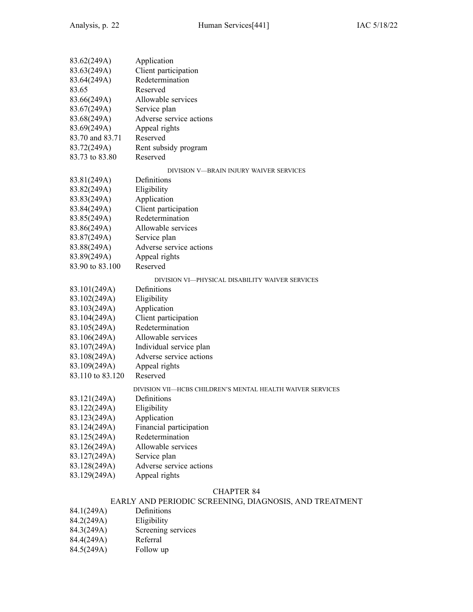| 83.62(249A)      | Application                                                |
|------------------|------------------------------------------------------------|
| 83.63(249A)      | Client participation                                       |
| 83.64(249A)      | Redetermination                                            |
| 83.65            | Reserved                                                   |
| 83.66(249A)      | Allowable services                                         |
| 83.67(249A)      | Service plan                                               |
| 83.68(249A)      | Adverse service actions                                    |
| 83.69(249A)      | Appeal rights                                              |
| 83.70 and 83.71  | Reserved                                                   |
| 83.72(249A)      | Rent subsidy program                                       |
| 83.73 to 83.80   | Reserved                                                   |
|                  | DIVISION V-BRAIN INJURY WAIVER SERVICES                    |
| 83.81(249A)      | Definitions                                                |
| 83.82(249A)      | Eligibility                                                |
| 83.83(249A)      | Application                                                |
| 83.84(249A)      | Client participation                                       |
| 83.85(249A)      | Redetermination                                            |
| 83.86(249A)      | Allowable services                                         |
| 83.87(249A)      | Service plan                                               |
| 83.88(249A)      | Adverse service actions                                    |
| 83.89(249A)      | Appeal rights                                              |
| 83.90 to 83.100  | Reserved                                                   |
|                  | DIVISION VI—PHYSICAL DISABILITY WAIVER SERVICES            |
| 83.101(249A)     | Definitions                                                |
| 83.102(249A)     | Eligibility                                                |
| 83.103(249A)     | Application                                                |
| 83.104(249A)     | Client participation                                       |
| 83.105(249A)     | Redetermination                                            |
| 83.106(249A)     | Allowable services                                         |
| 83.107(249A)     | Individual service plan                                    |
| 83.108(249A)     | Adverse service actions                                    |
| 83.109(249A)     | Appeal rights                                              |
| 83.110 to 83.120 | Reserved                                                   |
|                  | DIVISION VII—HCBS CHILDREN'S MENTAL HEALTH WAIVER SERVICES |
| 83.121(249A)     | Definitions                                                |
| 83.122(249A)     | Eligibility                                                |
| 83.123(249A)     | Application                                                |
| 83.124(249A)     | Financial participation                                    |
| 83.125(249A)     | Redetermination                                            |
| 83.126(249A)     | Allowable services                                         |
| 83.127(249A)     | Service plan                                               |
| 83.128(249A)     | Adverse service actions                                    |
| 83.129(249A)     | Appeal rights                                              |
|                  |                                                            |

### EARLY AND PERIODIC SCREENING, DIAGNOSIS, AND TREATMENT

- 84.1(249A) Definitions
- 
- 84.2(249A) Eligibility<br>84.3(249A) Screening Screening services
- 84.4(249A) Referral
- 84.5(249A) Follow up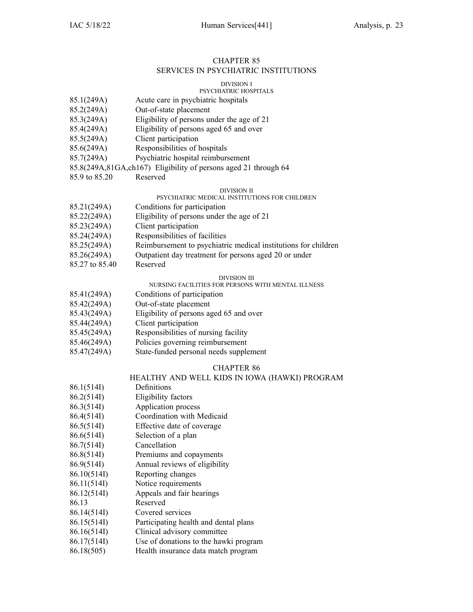### CHAPTER 85 SERVICES IN PSYCHIATRIC INSTITUTIONS

#### DIVISION I

### PSYCHIATRIC HOSPITALS

- 85.1(249A) Acute care in psychiatric hospitals
- 85.2(249A) Out-of-state placement
- 85.3(249A) Eligibility of persons under the age of 21
- 85.4(249A) Eligibility of persons aged 65 and over
- 85.5(249A) Client participation
- 85.6(249A) Responsibilities of hospitals
- 85.7(249A) Psychiatric hospital reimbursement
- 85.8(249A,81GA,ch167) Eligibility of persons aged 21 through 64
- 85.9 to 85.20 Reserved

### DIVISION II

#### PSYCHIATRIC MEDICAL INSTITUTIONS FOR CHILDREN

- 85.21(249A) Conditions for participation 85.22(249A) Eligibility of persons under the age of 21 85.23(249A) Client participation 85.24(249A) Responsibilities of facilities 85.25(249A) Reimbursement to psychiatric medical institutions for children 85.26(249A) Outpatient day treatment for persons aged 20 or under
- 85.27 to 85.40 Reserved

#### DIVISION III

### NURSING FACILITIES FOR PERSONS WITH MENTAL ILLNESS

- 85.41(249A) Conditions of participation
- 85.42(249A) Out-of-state placement
- 85.43(249A) Eligibility of persons aged 65 and over
- 85.44(249A) Client participation
- 85.45(249A) Responsibilities of nursing facility
- 85.46(249A) Policies governing reimbursement
- 85.47(249A) State-funded personal needs supplement

### CHAPTER 86

### HEALTHY AND WELL KIDS IN IOWA (HAWKI) PROGRAM

- 86.1(514I) Definitions
- 86.2(514I) Eligibility factors
- 86.3(514I) Application process
- 86.4(514I) Coordination with Medicaid
- 86.5(514I) Effective date of coverage
- 86.6(514I) Selection of <sup>a</sup> plan
- 86.7(514I) Cancellation
- 86.8(514I) Premiums and copayments
- 86.9(514I) Annual reviews of eligibility
- 86.10(514I) Reporting changes
- 86.11(514I) Notice requirements
- 86.12(514I) Appeals and fair hearings
- 86.13 Reserved
- 86.14(514I) Covered services
- 86.15(514I) Participating health and dental plans
- 86.16(514I) Clinical advisory committee
- 86.17(514I) Use of donations to the hawki program
- 86.18(505) Health insurance data match program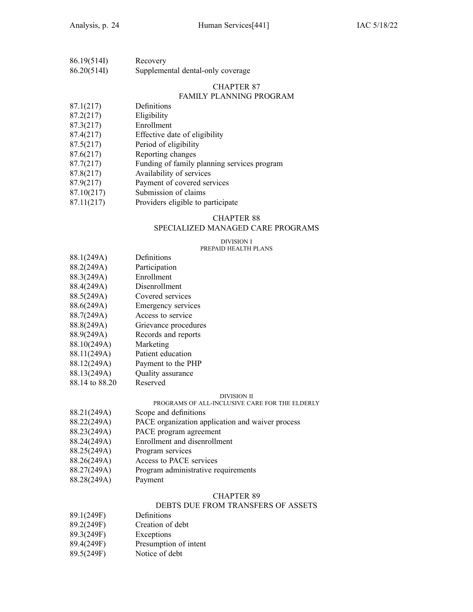| 86.19(514I) | Recovery                          |
|-------------|-----------------------------------|
| 86.20(514I) | Supplemental dental-only coverage |

### FAMILY PLANNING PROGRAM

- 87.1(217) Definitions
- 87.2(217) Eligibility
- 87.3(217) Enrollment
- 87.4(217) Effective date of eligibility
- 87.5(217) Period of eligibility
- 87.6(217) Reporting changes
- 87.7(217) Funding of family planning services program
- 87.8(217) Availability of services
- 87.9(217) Payment of covered services
- 87.10(217) Submission of claims
- 87.11(217) Providers eligible to participate

### CHAPTER 88

### SPECIALIZED MANAGED CARE PROGRAMS

#### DIVISION I PREPAID HEALTH PLANS

- 88.1(249A) Definitions
- 88.2(249A) Participation
- 88.3(249A) Enrollment
- 88.4(249A) Disenrollment
- 88.5(249A) Covered services
- 88.6(249A) Emergency services
- 88.7(249A) Access to service
- 88.8(249A) Grievance procedures
- 88.9(249A) Records and reports
- 88.10(249A) Marketing
- 88.11(249A) Patient education
- 88.12(249A) Payment to the PHP
- 88.13(249A) Quality assurance
- 88.14 to 88.20 Reserved

#### DIVISION II

### PROGRAMS OF ALL-INCLUSIVE CARE FOR THE ELDERLY

- 88.21(249A) Scope and definitions
- 88.22(249A) PACE organization application and waiver process
- 88.23(249A) PACE program agreemen<sup>t</sup>
- 88.24(249A) Enrollment and disenrollment
- 88.25(249A) Program services
- 88.26(249A) Access to PACE services
- 88.27(249A) Program administrative requirements
- 88.28(249A) Payment

#### CHAPTER 89

### DEBTS DUE FROM TRANSFERS OF ASSETS

- 89.1(249F) Definitions
- 89.2(249F) Creation of debt
- 89.3(249F) Exceptions
- 89.4(249F) Presumption of intent
- 89.5(249F) Notice of debt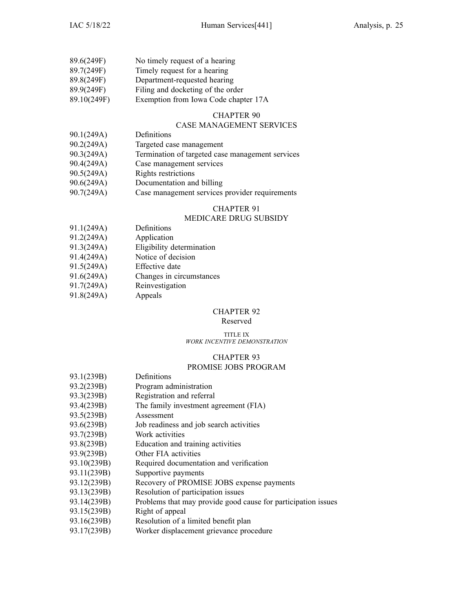| 89.6(249F)  | No timely request of a hearing       |
|-------------|--------------------------------------|
| 89.7(249F)  | Timely request for a hearing         |
| 89.8(249F)  | Department-requested hearing         |
| 89.9(249F)  | Filing and docketing of the order    |
| 89.10(249F) | Exemption from Iowa Code chapter 17A |

### CASE MANAGEMENT SERVICES

- 90.1(249A) Definitions
- 90.2(249A) Targeted case managemen<sup>t</sup>
- 90.3(249A) Termination of targeted case managemen<sup>t</sup> services
- 90.4(249A) Case managemen<sup>t</sup> services
- 90.5(249A) Rights restrictions
- 90.6(249A) Documentation and billing
- 90.7(249A) Case managemen<sup>t</sup> services provider requirements

### CHAPTER 91

### MEDICARE DRUG SUBSIDY

- 91.1(249A) Definitions
- 91.2(249A) Application
- 91.3(249A) Eligibility determination
- 91.4(249A) Notice of decision
- 91.5(249A) Effective date
- 91.6(249A) Changes in circumstances
- 91.7(249A) Reinvestigation
- 91.8(249A) Appeals

### CHAPTER 92

### Reserved

#### TITLE IX *WORK INCENTIVE DEMONSTRATION*

#### CHAPTER 93

### PROMISE JOBS PROGRAM

| 93.1(239B)  | Definitions                                                   |
|-------------|---------------------------------------------------------------|
| 93.2(239B)  | Program administration                                        |
| 93.3(239B)  | Registration and referral                                     |
| 93.4(239B)  | The family investment agreement (FIA)                         |
| 93.5(239B)  | Assessment                                                    |
| 93.6(239B)  | Job readiness and job search activities                       |
| 93.7(239B)  | Work activities                                               |
| 93.8(239B)  | Education and training activities                             |
| 93.9(239B)  | Other FIA activities                                          |
| 93.10(239B) | Required documentation and verification                       |
| 93.11(239B) | Supportive payments                                           |
| 93.12(239B) | Recovery of PROMISE JOBS expense payments                     |
| 93.13(239B) | Resolution of participation issues                            |
| 93.14(239B) | Problems that may provide good cause for participation issues |
| 93.15(239B) | Right of appeal                                               |
| 93.16(239B) | Resolution of a limited benefit plan                          |

93.17(239B) Worker displacement grievance procedure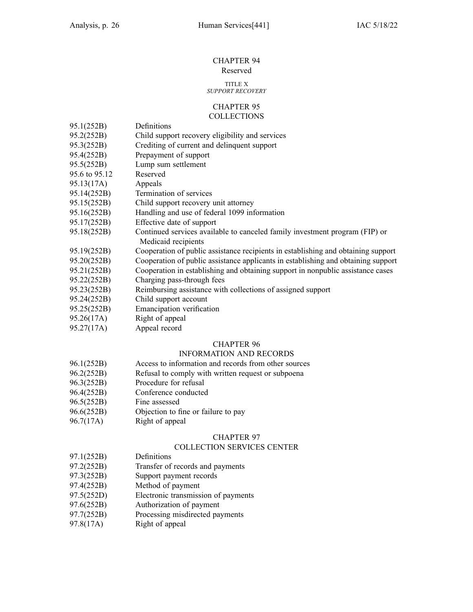#### CHAPTER 94 Reserved

### TITLE X

### *SUPPORT RECOVERY*

#### CHAPTER 95 **COLLECTIONS**

- 95.1(252B) Definitions
- 95.2(252B) Child suppor<sup>t</sup> recovery eligibility and services
- 95.3(252B) Crediting of current and delinquent suppor<sup>t</sup>
- 95.4(252B) Prepayment of suppor<sup>t</sup>
- 95.5(252B) Lump sum settlement
- 95.6 to 95.12 Reserved
- 95.13(17A) Appeals
- 95.14(252B) Termination of services
- 95.15(252B) Child suppor<sup>t</sup> recovery unit attorney
- 95.16(252B) Handling and use of federal 1099 information
- 95.17(252B) Effective date of suppor<sup>t</sup>
- 95.18(252B) Continued services available to canceled family investment program (FIP) or Medicaid recipients
- 95.19(252B) Cooperation of public assistance recipients in establishing and obtaining suppor<sup>t</sup>
- 95.20(252B) Cooperation of public assistance applicants in establishing and obtaining suppor<sup>t</sup>
- 95.21(252B) Cooperation in establishing and obtaining suppor<sup>t</sup> in nonpublic assistance cases
- 95.22(252B) Charging pass-through fees
- 95.23(252B) Reimbursing assistance with collections of assigned suppor<sup>t</sup>
- 95.24(252B) Child suppor<sup>t</sup> account
- 95.25(252B) Emancipation verification
- 95.26(17A) Right of appeal
- 95.27(17A) Appeal record

### CHAPTER 96

### INFORMATION AND RECORDS

- 96.1(252B) Access to information and records from other sources
- 96.2(252B) Refusal to comply with written reques<sup>t</sup> or subpoena
- 96.3(252B) Procedure for refusal
- 96.4(252B) Conference conducted
- 96.5(252B) Fine assessed
- 96.6(252B) Objection to fine or failure to pay
- 96.7(17A) Right of appeal

### CHAPTER 97

#### COLLECTION SERVICES CENTER

- 97.1(252B) Definitions
- 97.2(252B) Transfer of records and payments
- 97.3(252B) Support paymen<sup>t</sup> records
- 97.4(252B) Method of paymen<sup>t</sup>
- 97.5(252D) Electronic transmission of payments
- 97.6(252B) Authorization of paymen<sup>t</sup>
- 97.7(252B) Processing misdirected payments
- 97.8(17A) Right of appeal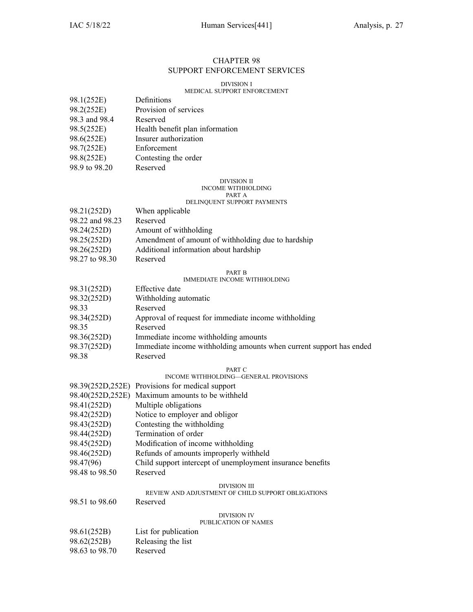### CHAPTER 98 SUPPORT ENFORCEMENT SERVICES

#### DIVISION I

### MEDICAL SUPPORT ENFORCEMENT

| 98.1(252E)    | Definitions                     |
|---------------|---------------------------------|
| 98.2(252E)    | Provision of services           |
| 98.3 and 98.4 | Reserved                        |
| 98.5(252E)    | Health benefit plan information |
| 98.6(252E)    | Insurer authorization           |
| 98.7(252E)    | Enforcement                     |
| 98.8(252E)    | Contesting the order            |
| 98.9 to 98.20 | Reserved                        |

#### DIVISION II INCOME WITHHOLDING PART A

### DELINQUENT SUPPORT PAYMENTS

| 98.21(252D)     | When applicable                                    |
|-----------------|----------------------------------------------------|
| 98.22 and 98.23 | Reserved                                           |
| 98.24(252D)     | Amount of withholding                              |
| 98.25(252D)     | Amendment of amount of withholding due to hardship |
| 98.26(252D)     | Additional information about hardship              |
|                 |                                                    |

98.27 to 98.30 Reserved

### PART B

#### IMMEDIATE INCOME WITHHOLDING

| 98.31(252D) | Effective date                                                      |
|-------------|---------------------------------------------------------------------|
| 98.32(252D) | Withholding automatic                                               |
| 98.33       | Reserved                                                            |
| 98.34(252D) | Approval of request for immediate income withholding                |
| 98.35       | Reserved                                                            |
| 98.36(252D) | Immediate income withholding amounts                                |
| 98.37(252D) | Immediate income withholding amounts when current support has ended |
| 98.38       | Reserved                                                            |

#### PART C

#### INCOME WITHHOLDING—GENERAL PROVISIONS

|                  | 98.39(252D,252E) Provisions for medical support            |  |
|------------------|------------------------------------------------------------|--|
| 98.40(252D,252E) | Maximum amounts to be withheld                             |  |
| 98.41(252D)      | Multiple obligations                                       |  |
| 98.42(252D)      | Notice to employer and obligor                             |  |
| 98.43(252D)      | Contesting the withholding                                 |  |
| 98.44(252D)      | Termination of order                                       |  |
| 98.45(252D)      | Modification of income withholding                         |  |
| 98.46(252D)      | Refunds of amounts improperly withheld                     |  |
| 98.47(96)        | Child support intercept of unemployment insurance benefits |  |
| 98.48 to 98.50   | Reserved                                                   |  |
|                  | DIVISION III                                               |  |
|                  | REVIEW AND ADJUSTMENT OF CHILD SUPPORT OBLIGATIONS         |  |
| 98.51 to 98.60   | Reserved                                                   |  |
|                  | DIVISION IV                                                |  |

#### PUBLICATION OF NAMES

| 98.61(252B)    | List for publication |
|----------------|----------------------|
| 98.62(252B)    | Releasing the list   |
| 98.63 to 98.70 | Reserved             |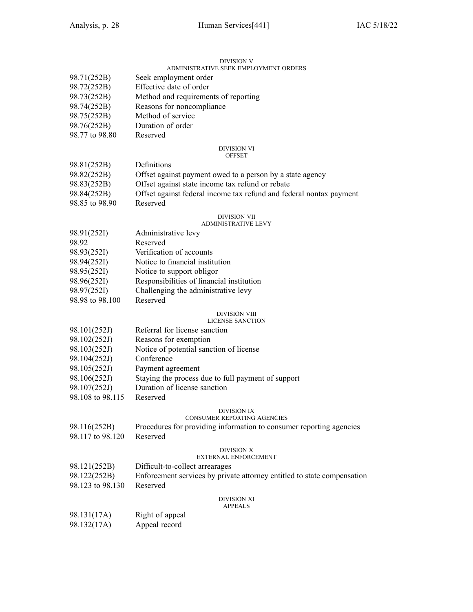#### DIVISION V ADMINISTRATIVE SEEK EMPLOYMENT ORDERS

| 98.71(252B)      | Seek employment order                                                   |  |  |
|------------------|-------------------------------------------------------------------------|--|--|
| 98.72(252B)      | Effective date of order                                                 |  |  |
| 98.73(252B)      | Method and requirements of reporting                                    |  |  |
| 98.74(252B)      | Reasons for noncompliance                                               |  |  |
| 98.75(252B)      | Method of service                                                       |  |  |
| 98.76(252B)      | Duration of order                                                       |  |  |
| 98.77 to 98.80   | Reserved                                                                |  |  |
|                  | DIVISION VI<br><b>OFFSET</b>                                            |  |  |
| 98.81(252B)      | Definitions                                                             |  |  |
| 98.82(252B)      | Offset against payment owed to a person by a state agency               |  |  |
| 98.83(252B)      | Offset against state income tax refund or rebate                        |  |  |
| 98.84(252B)      | Offset against federal income tax refund and federal nontax payment     |  |  |
| 98.85 to 98.90   | Reserved                                                                |  |  |
|                  | DIVISION VII                                                            |  |  |
|                  | ADMINISTRATIVE LEVY                                                     |  |  |
| 98.91(252I)      | Administrative levy                                                     |  |  |
| 98.92            | Reserved                                                                |  |  |
| 98.93(252I)      | Verification of accounts                                                |  |  |
| 98.94(252I)      | Notice to financial institution                                         |  |  |
| 98.95(252I)      | Notice to support obligor                                               |  |  |
| 98.96(252I)      | Responsibilities of financial institution                               |  |  |
| 98.97(252I)      | Challenging the administrative levy                                     |  |  |
| 98.98 to 98.100  | Reserved                                                                |  |  |
|                  | DIVISION VIII<br><b>LICENSE SANCTION</b>                                |  |  |
| 98.101(252J)     | Referral for license sanction                                           |  |  |
| 98.102(252J)     | Reasons for exemption                                                   |  |  |
| 98.103(252J)     | Notice of potential sanction of license                                 |  |  |
| 98.104(252J)     | Conference                                                              |  |  |
| 98.105(252J)     | Payment agreement                                                       |  |  |
| 98.106(252J)     | Staying the process due to full payment of support                      |  |  |
| 98.107(252J)     | Duration of license sanction                                            |  |  |
| 98.108 to 98.115 | Reserved                                                                |  |  |
|                  | DIVISION IX                                                             |  |  |
|                  | CONSUMER REPORTING AGENCIES                                             |  |  |
| 98.116(252B)     | Procedures for providing information to consumer reporting agencies     |  |  |
| 98.117 to 98.120 | Reserved                                                                |  |  |
|                  | <b>DIVISION X</b><br><b>EXTERNAL ENFORCEMENT</b>                        |  |  |
| 98.121(252B)     | Difficult-to-collect arrearages                                         |  |  |
| 98.122(252B)     | Enforcement services by private attorney entitled to state compensation |  |  |
| 98.123 to 98.130 | Reserved                                                                |  |  |
|                  | DIVISION XI<br><b>APPEALS</b>                                           |  |  |
| 98.131(17A)      | Right of appeal                                                         |  |  |
| 98.132(17A)      | Appeal record                                                           |  |  |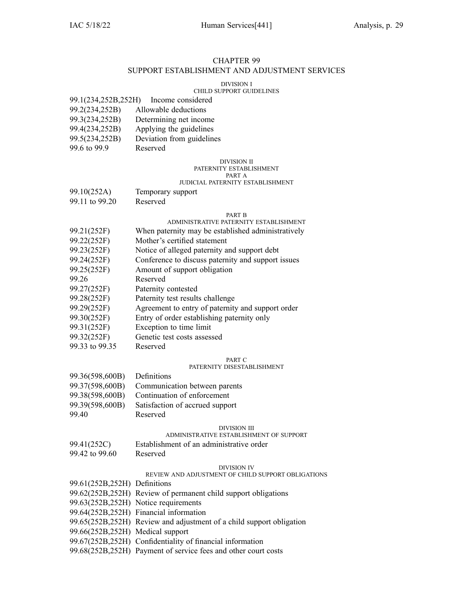### CHAPTER 99 SUPPORT ESTABLISHMENT AND ADJUSTMENT SERVICES

#### DIVISION I

### CHILD SUPPORT GUIDELINES

| 99.1(234,252B,252H) | Income considered |
|---------------------|-------------------|
|                     |                   |

- 99.2(234,252B) Allowable deductions
- 99.3(234,252B) Determining net income
- 99.4(234,252B) Applying the guidelines 99.5(234,252B) Deviation from guidelines
- 99.6 to 99.9 Reserved
	-

### DIVISION II

#### PATERNITY ESTABLISHMENT PART A

#### JUDICIAL PATERNITY ESTABLISHMENT

- 99.10(252A) Temporary suppor<sup>t</sup>
- 99.11 to 99.20 Reserved

#### PART B

### ADMINISTRATIVE PATERNITY ESTABLISHMENT

- 99.21(252F) When paternity may be established administratively
- 99.22(252F) Mother's certified statement
- 99.23(252F) Notice of alleged paternity and suppor<sup>t</sup> debt
- 99.24(252F) Conference to discuss paternity and suppor<sup>t</sup> issues
- 99.25(252F) Amount of suppor<sup>t</sup> obligation
- 99.26 Reserved
- 99.27(252F) Paternity contested
- 99.28(252F) Paternity test results challenge
- 99.29(252F) Agreement to entry of paternity and suppor<sup>t</sup> order
- 99.30(252F) Entry of order establishing paternity only
- 99.31(252F) Exception to time limit
- 99.32(252F) Genetic test costs assessed
- 99.33 to 99.35 Reserved

#### PART C

#### PATERNITY DISESTABLISHMENT

| 99.36(598,600B) | Definitions                     |
|-----------------|---------------------------------|
| 99.37(598,600B) | Communication between parents   |
| 99.38(598,600B) | Continuation of enforcement     |
| 99.39(598,600B) | Satisfaction of accrued support |
| 99.40           | Reserved                        |

#### DIVISION III

### ADMINISTRATIVE ESTABLISHMENT OF SUPPORT

- 99.41(252C) Establishment of an administrative order
- 99.42 to 99.60 Reserved

### DIVISION IV

### REVIEW AND ADJUSTMENT OF CHILD SUPPORT OBLIGATIONS

99.61(252B,252H) Definitions 99.62(252B,252H) Review of permanen<sup>t</sup> child suppor<sup>t</sup> obligations 99.63(252B,252H) Notice requirements 99.64(252B,252H) Financial information 99.65(252B,252H) Review and adjustment of <sup>a</sup> child suppor<sup>t</sup> obligation 99.66(252B,252H) Medical suppor<sup>t</sup> 99.67(252B,252H) Confidentiality of financial information 99.68(252B,252H) Payment of service fees and other court costs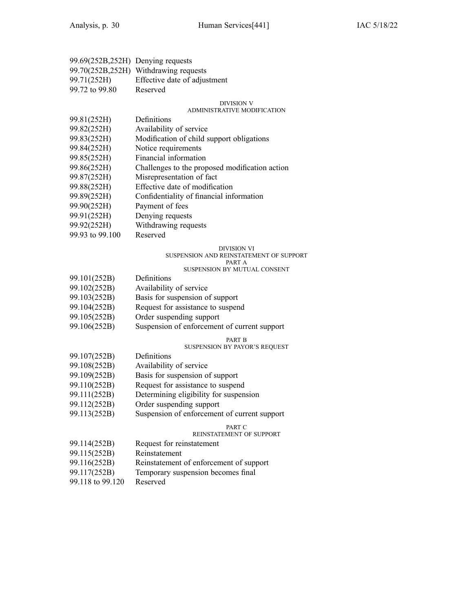| 99.69(252B,252H) Denying requests |                                       |
|-----------------------------------|---------------------------------------|
|                                   | 99.70(252B,252H) Withdrawing requests |
| 99.71(252H)                       | Effective date of adjustment          |
| 99.72 to 99.80                    | Reserved                              |

#### DIVISION V

#### ADMINISTRATIVE MODIFICATION

| 99.81(252H) | Definitions |
|-------------|-------------|
|-------------|-------------|

- 99.82(252H) Availability of service
- 99.83(252H) Modification of child suppor<sup>t</sup> obligations
- 
- 99.84(252H) Notice requirements<br>99.85(252H) Financial information Financial information
- 99.86(252H) Challenges to the proposed modification action
- 99.87(252H) Misrepresentation of fact
- 99.88(252H) Effective date of modification
- 99.89(252H) Confidentiality of financial information
- 99.90(252H) Payment of fees
- 99.91(252H) Denying requests
- 99.92(252H) Withdrawing requests
- 99.93 to 99.100 Reserved

#### DIVISION VI

#### SUSPENSION AND REINSTATEMENT OF SUPPORT

#### PART A

### SUSPENSION BY MUTUAL CONSENT

| 99.101(252B) | Definitions                       |
|--------------|-----------------------------------|
| 99.102(252B) | Availability of service           |
| 99.103(252B) | Basis for suspension of support   |
| 99.104(252B) | Request for assistance to suspend |
| 99.105(252B) | Order suspending support          |
|              |                                   |

99.106(252B) Suspension of enforcement of current suppor<sup>t</sup>

### PART B

### SUSPENSION BY PAYOR'S REQUEST

- 99.107(252B) Definitions 99.108(252B) Availability of service 99.109(252B) Basis for suspension of suppor<sup>t</sup> 99.110(252B) Request for assistance to suspend 99.111(252B) Determining eligibility for suspension 99.112(252B) Order suspending suppor<sup>t</sup>
- 99.113(252B) Suspension of enforcement of current suppor<sup>t</sup>

#### PART C

#### REINSTATEMENT OF SUPPORT

99.114(252B) Request for reinstatement 99.115(252B) Reinstatement 99.116(252B) Reinstatement of enforcement of suppor<sup>t</sup> 99.117(252B) Temporary suspension becomes final 99.118 to 99.120 Reserved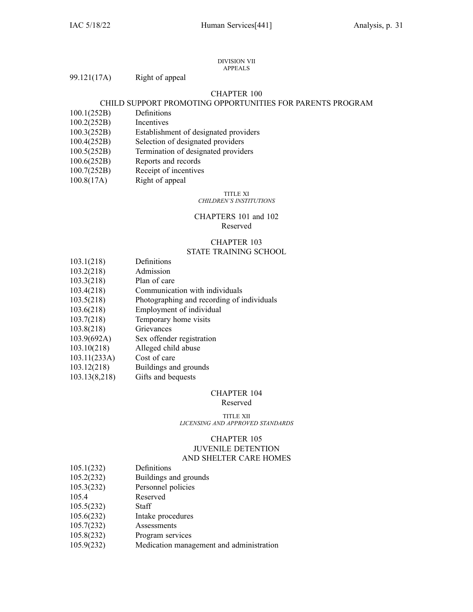#### DIVISION VII APPEALS

### CHAPTER 100

### CHILD SUPPORT PROMOTING OPPORTUNITIES FOR PARENTS PROGRAM

- 100.1(252B) Definitions
- 100.2(252B) Incentives
- 100.3(252B) Establishment of designated providers
- 100.4(252B) Selection of designated providers
- 100.5(252B) Termination of designated providers
- 100.6(252B) Reports and records
- 100.7(252B) Receipt of incentives
- 100.8(17A) Right of appeal

#### TITLE XI *CHILDREN'S INSTITUTIONS*

### CHAPTERS 101 and 102 Reserved

### CHAPTER 103 STATE TRAINING SCHOOL

- 103.1(218) Definitions 103.2(218) Admission
- 
- 103.3(218) Plan of care
- 103.4(218) Communication with individuals
- 103.5(218) Photographing and recording of individuals
- 103.6(218) Employment of individual
- 103.7(218) Temporary home visits
- 103.8(218) Grievances
- 103.9(692A) Sex offender registration
- 103.10(218) Alleged child abuse
- 103.11(233A) Cost of care
- 103.12(218) Buildings and grounds
- 103.13(8,218) Gifts and bequests

#### CHAPTER 104

#### Reserved

TITLE XII *LICENSING AND APPROVED STANDARDS*

### CHAPTER 105 JUVENILE DETENTION AND SHELTER CARE HOMES

- 105.1(232) Definitions
- 105.2(232) Buildings and grounds
- 105.3(232) Personnel policies
- 105.4 Reserved
- 105.5(232) Staff
- 105.6(232) Intake procedures
- 105.7(232) Assessments
- 105.8(232) Program services
- 105.9(232) Medication managemen<sup>t</sup> and administration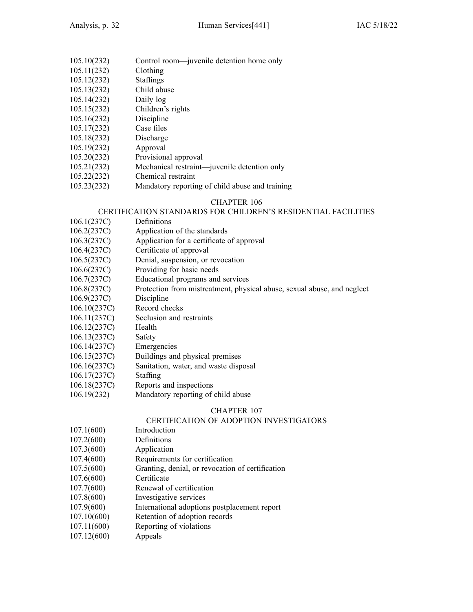- 105.10(232) Control room—juvenile detention home only
- 105.11(232) Clothing
- 105.12(232) Staffings
- 105.13(232) Child abuse
- 105.14(232) Daily log
- 105.15(232) Children's rights
- 105.16(232) Discipline
- 105.17(232) Case files
- 105.18(232) Discharge
- 105.19(232) Approval
- 105.20(232) Provisional approval
- 105.21(232) Mechanical restraint—juvenile detention only
- 105.22(232) Chemical restraint
- 105.23(232) Mandatory reporting of child abuse and training

### CERTIFICATION STANDARDS FOR CHILDREN'S RESIDENTIAL FACILITIES

- 106.1(237C) Definitions
- 106.2(237C) Application of the standards
- 106.3(237C) Application for <sup>a</sup> certificate of approval
- 106.4(237C) Certificate of approval
- 106.5(237C) Denial, suspension, or revocation
- 106.6(237C) Providing for basic needs
- 106.7(237C) Educational programs and services
- 106.8(237C) Protection from mistreatment, physical abuse, sexual abuse, and neglect
- 106.9(237C) Discipline
- 106.10(237C) Record checks
- 106.11(237C) Seclusion and restraints
- 106.12(237C) Health
- 106.13(237C) Safety
- 106.14(237C) Emergencies
- 106.15(237C) Buildings and physical premises
- 106.16(237C) Sanitation, water, and waste disposal
- 106.17(237C) Staffing
- 106.18(237C) Reports and inspections
- 106.19(232) Mandatory reporting of child abuse

### CHAPTER 107

### CERTIFICATION OF ADOPTION INVESTIGATORS

- 107.1(600) Introduction
- 107.2(600) Definitions
- 107.3(600) Application
- 107.4(600) Requirements for certification
- 107.5(600) Granting, denial, or revocation of certification
- 107.6(600) Certificate
- 107.7(600) Renewal of certification
- 107.8(600) Investigative services
- 107.9(600) International adoptions postplacement repor<sup>t</sup>
- 107.10(600) Retention of adoption records
- 107.11(600) Reporting of violations
- 107.12(600) Appeals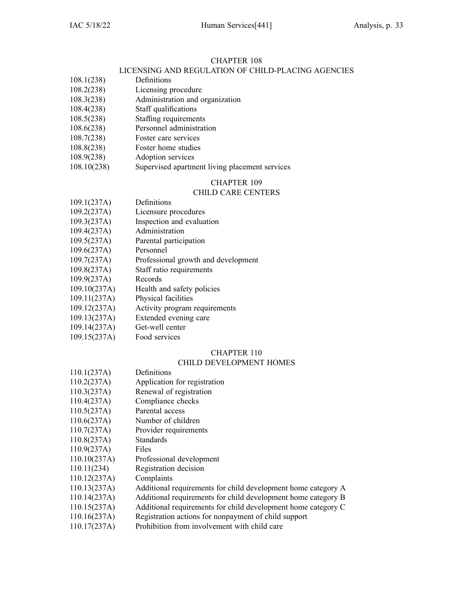### LICENSING AND REGULATION OF CHILD-PLACING AGENCIES

- 108.1(238) Definitions
- 108.2(238) Licensing procedure
- 108.3(238) Administration and organization
- 108.4(238) Staff qualifications
- 108.5(238) Staffing requirements
- 108.6(238) Personnel administration
- 108.7(238) Foster care services
- 108.8(238) Foster home studies
- 108.9(238) Adoption services
- 108.10(238) Supervised apartment living placement services

### CHAPTER 109

### CHILD CARE CENTERS

- 109.1(237A) Definitions 109.2(237A) Licensure procedures 109.3(237A) Inspection and evaluation 109.4(237A) Administration 109.5(237A) Parental participation 109.6(237A) Personnel 109.7(237A) Professional growth and development 109.8(237A) Staff ratio requirements 109.9(237A) Records 109.10(237A) Health and safety policies 109.11(237A) Physical facilities
- 109.12(237A) Activity program requirements
- 109.13(237A) Extended evening care
- 109.14(237A) Get-well center
- 109.15(237A) Food services

### CHAPTER 110

### CHILD DEVELOPMENT HOMES

- 110.1(237A) Definitions
- 110.2(237A) Application for registration
- 110.3(237A) Renewal of registration
- 110.4(237A) Compliance checks
- 110.5(237A) Parental access
- 110.6(237A) Number of children
- 110.7(237A) Provider requirements
- 110.8(237A) Standards
- 110.9(237A) Files
- 110.10(237A) Professional development
- 110.11(234) Registration decision
- 110.12(237A) Complaints
- 110.13(237A) Additional requirements for child development home category A
- 110.14(237A) Additional requirements for child development home category B
- 110.15(237A) Additional requirements for child development home category C
- 110.16(237A) Registration actions for nonpaymen<sup>t</sup> of child suppor<sup>t</sup>
- 110.17(237A) Prohibition from involvement with child care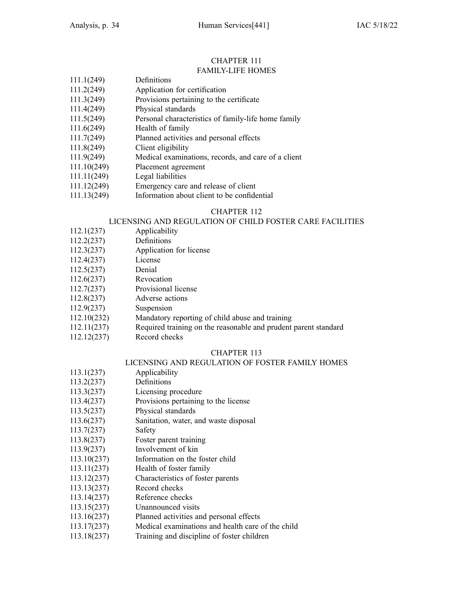#### CHAPTER 111 FAMILY-LIFE HOMES

| 111.1(249)  | Definitions                                         |
|-------------|-----------------------------------------------------|
| 111.2(249)  | Application for certification                       |
| 111.3(249)  | Provisions pertaining to the certificate            |
| 111.4(249)  | Physical standards                                  |
| 111.5(249)  | Personal characteristics of family-life home family |
| 111.6(249)  | Health of family                                    |
| 111.7(249)  | Planned activities and personal effects             |
| 111.8(249)  | Client eligibility                                  |
| 111.9(249)  | Medical examinations, records, and care of a client |
| 111.10(249) | Placement agreement                                 |
| 111.11(249) | Legal liabilities                                   |
|             |                                                     |

- 111.12(249) Emergency care and release of client
- 111.13(249) Information about client to be confidential

### CHAPTER 112

### LICENSING AND REGULATION OF CHILD FOSTER CARE FACILITIES

- 112.1(237) Applicability
- 112.2(237) Definitions
- 112.3(237) Application for license
- 112.4(237) License
- 112.5(237) Denial
- 112.6(237) Revocation
- 112.7(237) Provisional license
- 112.8(237) Adverse actions
- 112.9(237) Suspension
- 112.10(232) Mandatory reporting of child abuse and training
- 112.11(237) Required training on the reasonable and prudent paren<sup>t</sup> standard
- 112.12(237) Record checks

### CHAPTER 113

### LICENSING AND REGULATION OF FOSTER FAMILY HOMES

- 113.1(237) Applicability
- 113.2(237) Definitions
- 113.3(237) Licensing procedure
- 113.4(237) Provisions pertaining to the license
- 113.5(237) Physical standards
- 113.6(237) Sanitation, water, and waste disposal
- 113.7(237) Safety
- 113.8(237) Foster paren<sup>t</sup> training
- 113.9(237) Involvement of kin
- 113.10(237) Information on the foster child
- 113.11(237) Health of foster family
- 113.12(237) Characteristics of foster parents
- 113.13(237) Record checks
- 113.14(237) Reference checks
- 113.15(237) Unannounced visits
- 113.16(237) Planned activities and personal effects
- 113.17(237) Medical examinations and health care of the child
- 113.18(237) Training and discipline of foster children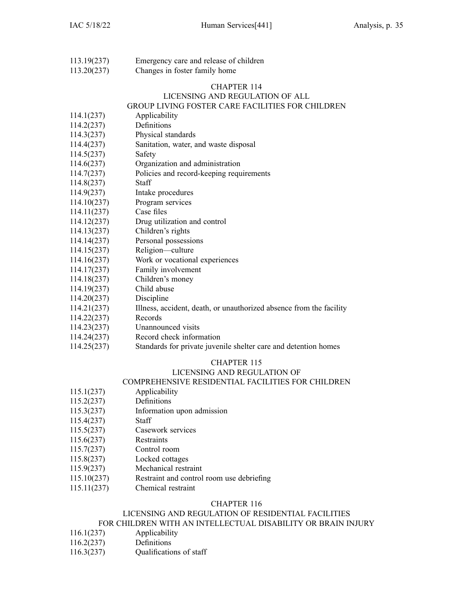113.19(237) Emergency care and release of children 113.20(237) Changes in foster family home

### CHAPTER 114

### LICENSING AND REGULATION OF ALL GROUP LIVING FOSTER CARE FACILITIES FOR CHILDREN

- 114.1(237) Applicability 114.2(237) Definitions
- 114.3(237) Physical standards
- 114.4(237) Sanitation, water, and waste disposal
- 114.5(237) Safety
- 114.6(237) Organization and administration
- 114.7(237) Policies and record-keeping requirements
- 114.8(237) Staff
- 114.9(237) Intake procedures
- 114.10(237) Program services
- 114.11(237) Case files
- 114.12(237) Drug utilization and control
- 114.13(237) Children's rights
- 114.14(237) Personal possessions
- 114.15(237) Religion—culture
- 114.16(237) Work or vocational experiences
- 114.17(237) Family involvement
- 114.18(237) Children's money
- 114.19(237) Child abuse
- 114.20(237) Discipline
- 114.21(237) Illness, accident, death, or unauthorized absence from the facility
- 114.22(237) Records
- 114.23(237) Unannounced visits
- 114.24(237) Record check information
- 114.25(237) Standards for private juvenile shelter care and detention homes

### CHAPTER 115

### LICENSING AND REGULATION OF

### COMPREHENSIVE RESIDENTIAL FACILITIES FOR CHILDREN

- 115.1(237) Applicability
- 115.2(237) Definitions
- 115.3(237) Information upon admission
- 115.4(237) Staff
- 115.5(237) Casework services
- 115.6(237) Restraints
- 115.7(237) Control room
- 115.8(237) Locked cottages
- 115.9(237) Mechanical restraint
- 115.10(237) Restraint and control room use debriefing
- 115.11(237) Chemical restraint

#### CHAPTER 116

### LICENSING AND REGULATION OF RESIDENTIAL FACILITIES

### FOR CHILDREN WITH AN INTELLECTUAL DISABILITY OR BRAIN INJURY

- 116.1(237) Applicability
- 116.2(237) Definitions
- 116.3(237) Qualifications of staff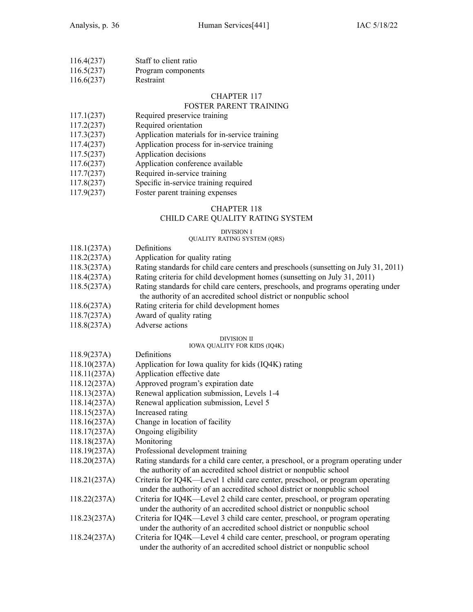| 116.4(237) | Staff to client ratio |
|------------|-----------------------|
| 116.5(237) | Program components    |

116.6(237) Restraint

#### CHAPTER 117

### FOSTER PARENT TRAINING

- 117.1(237) Required preservice training
- 117.2(237) Required orientation
- 117.3(237) Application materials for in-service training
- 117.4(237) Application process for in-service training
- 117.5(237) Application decisions
- 117.6(237) Application conference available
- 117.7(237) Required in-service training
- 117.8(237) Specific in-service training required
- 117.9(237) Foster paren<sup>t</sup> training expenses

### CHAPTER 118

### CHILD CARE QUALITY RATING SYSTEM

#### DIVISION I

### QUALITY RATING SYSTEM (QRS)

- 118.1(237A) Definitions
- 118.2(237A) Application for quality rating
- 118.3(237A) Rating standards for child care centers and preschools (sunsetting on July 31, 2011)
- 118.4(237A) Rating criteria for child development homes (sunsetting on July 31, 2011)
- 118.5(237A) Rating standards for child care centers, preschools, and programs operating under the authority of an accredited school district or nonpublic school
- 118.6(237A) Rating criteria for child development homes
- 118.7(237A) Award of quality rating
- 118.8(237A) Adverse actions

### DIVISION II

#### IOWA QUALITY FOR KIDS (IQ4K)

118.9(237A) Definitions 118.10(237A) Application for Iowa quality for kids (IQ4K) rating 118.11(237A) Application effective date 118.12(237A) Approved program's expiration date 118.13(237A) Renewal application submission, Levels 1-4 118.14(237A) Renewal application submission, Level 5 118.15(237A) Increased rating 118.16(237A) Change in location of facility 118.17(237A) Ongoing eligibility 118.18(237A) Monitoring 118.19(237A) Professional development training 118.20(237A) Rating standards for <sup>a</sup> child care center, <sup>a</sup> preschool, or <sup>a</sup> program operating under the authority of an accredited school district or nonpublic school 118.21(237A) Criteria for IQ4K—Level 1 child care center, preschool, or program operating under the authority of an accredited school district or nonpublic school 118.22(237A) Criteria for IQ4K—Level 2 child care center, preschool, or program operating under the authority of an accredited school district or nonpublic school 118.23(237A) Criteria for IQ4K—Level 3 child care center, preschool, or program operating under the authority of an accredited school district or nonpublic school 118.24(237A) Criteria for IQ4K—Level 4 child care center, preschool, or program operating under the authority of an accredited school district or nonpublic school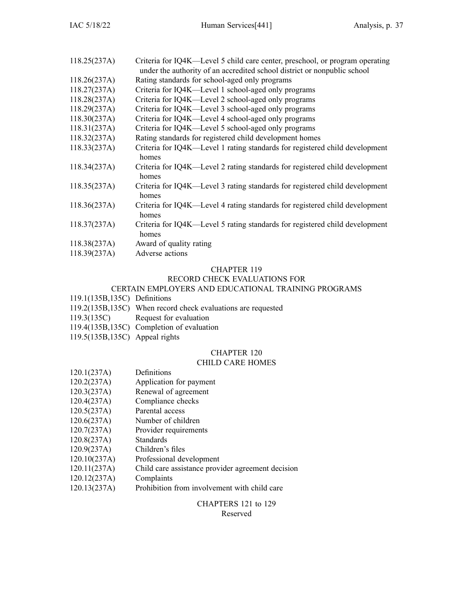| Criteria for IQ4K—Level 5 child care center, preschool, or program operating<br>under the authority of an accredited school district or nonpublic school |
|----------------------------------------------------------------------------------------------------------------------------------------------------------|
| Rating standards for school-aged only programs                                                                                                           |
| Criteria for IQ4K—Level 1 school-aged only programs                                                                                                      |
| Criteria for IQ4K—Level 2 school-aged only programs                                                                                                      |
| Criteria for IQ4K—Level 3 school-aged only programs                                                                                                      |
| Criteria for IQ4K—Level 4 school-aged only programs                                                                                                      |
| Criteria for IQ4K—Level 5 school-aged only programs                                                                                                      |
| Rating standards for registered child development homes                                                                                                  |
| Criteria for IQ4K—Level 1 rating standards for registered child development<br>homes                                                                     |
| Criteria for IQ4K—Level 2 rating standards for registered child development<br>homes                                                                     |
| Criteria for IQ4K—Level 3 rating standards for registered child development<br>homes                                                                     |
| Criteria for IQ4K—Level 4 rating standards for registered child development<br>homes                                                                     |
| Criteria for IQ4K—Level 5 rating standards for registered child development<br>homes                                                                     |
| Award of quality rating                                                                                                                                  |
| Adverse actions                                                                                                                                          |
|                                                                                                                                                          |

### RECORD CHECK EVALUATIONS FOR

### CERTAIN EMPLOYERS AND EDUCATIONAL TRAINING PROGRAMS

- 119.1(135B,135C) Definitions
- 119.2(135B,135C) When record check evaluations are requested
- 119.3(135C) Request for evaluation
- 119.4(135B,135C) Completion of evaluation
- 119.5(135B,135C) Appeal rights

### CHAPTER 120

### CHILD CARE HOMES

- 120.1(237A) Definitions
- 120.2(237A) Application for paymen<sup>t</sup>
- 120.3(237A) Renewal of agreemen<sup>t</sup>
- 120.4(237A) Compliance checks
- 120.5(237A) Parental access
- 120.6(237A) Number of children
- 120.7(237A) Provider requirements<br>120.8(237A) Standards
- $120.8(237A)$
- 120.9(237A) Children's files
- 120.10(237A) Professional development
- 120.11(237A) Child care assistance provider agreemen<sup>t</sup> decision
- 120.12(237A) Complaints
- 120.13(237A) Prohibition from involvement with child care

### CHAPTERS 121 to 129

#### Reserved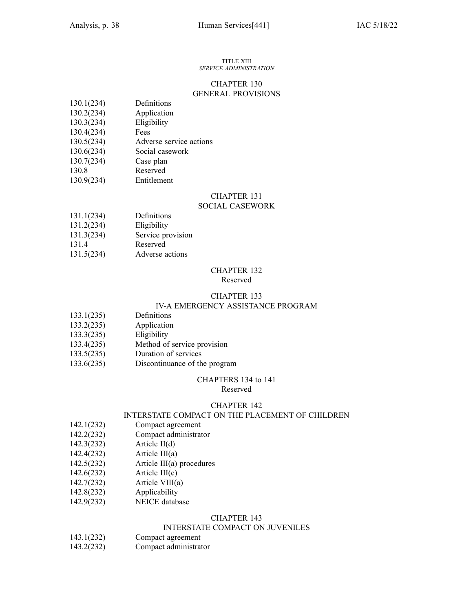#### TITLE XIII *SERVICE ADMINISTRATION*

### CHAPTER 130 GENERAL PROVISIONS

| 130.1(234) | Definitions |
|------------|-------------|
|------------|-------------|

- 130.2(234) Application
- 130.3(234) Eligibility
- 130.4(234) Fees
- 130.5(234) Adverse service actions
- 130.6(234) Social casework
- 130.7(234) Case plan
- 130.8 Reserved
- 130.9(234) Entitlement

### CHAPTER 131

### SOCIAL CASEWORK

- 131.1(234) Definitions
- 131.2(234) Eligibility
- 131.3(234) Service provision
- 131.4 Reserved
- 131.5(234) Adverse actions

#### CHAPTER 132 Reserved

#### CHAPTER 133 IV-A EMERGENCY ASSISTANCE PROGRAM

- 133.1(235) Definitions
- 133.2(235) Application
- 133.3(235) Eligibility
- 133.4(235) Method of service provision
- 133.5(235) Duration of services
- 133.6(235) Discontinuance of the program

### CHAPTERS 134 to 141

Reserved

### CHAPTER 142

### INTERSTATE COMPACT ON THE PLACEMENT OF CHILDREN

- 142.1(232) Compact agreemen<sup>t</sup>
- 142.2(232) Compact administrator
- 142.3(232) Article II(d)
- 142.4(232) Article III(a)
- 142.5(232) Article III(a) procedures
- 142.6(232) Article III(c)
- 142.7(232) Article VIII(a)
- 142.8(232) Applicability
- 142.9(232) NEICE database

### CHAPTER 143

### INTERSTATE COMPACT ON JUVENILES

- 143.1(232) Compact agreemen<sup>t</sup>
- 143.2(232) Compact administrator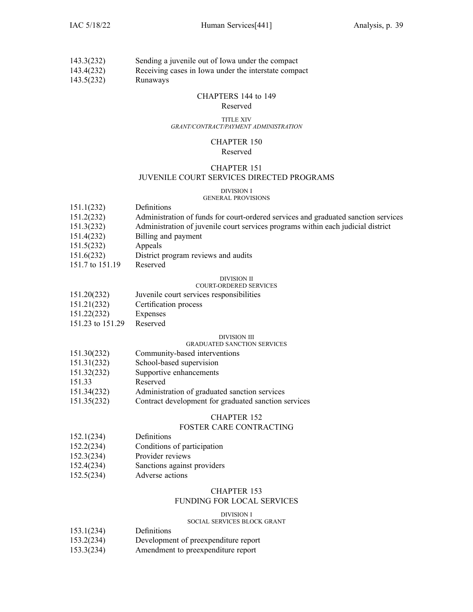| 143.3(232)       | Sending a juvenile out of Iowa under the compact |  |  |
|------------------|--------------------------------------------------|--|--|
| $\left  \right $ |                                                  |  |  |

143.4(232) Receiving cases in Iowa under the interstate compac<sup>t</sup>

143.5(232) Runaways

### CHAPTERS 144 to 149

#### Reserved

#### TITLE XIV *GRANT/CONTRACT/PAYMENT ADMINISTRATION*

#### CHAPTER 150 Reserved

### CHAPTER 151 JUVENILE COURT SERVICES DIRECTED PROGRAMS

#### DIVISION I GENERAL PROVISIONS

| 151.1(232)      | Definitions                                                                        |
|-----------------|------------------------------------------------------------------------------------|
| 151.2(232)      | Administration of funds for court-ordered services and graduated sanction services |
| 151.3(232)      | Administration of juvenile court services programs within each judicial district   |
| 151.4(232)      | Billing and payment                                                                |
| 151.5(232)      | Appeals                                                                            |
| 151.6(232)      | District program reviews and audits                                                |
| 151.7 to 151.19 | Reserved                                                                           |
|                 | <b>DIVISION II</b>                                                                 |
|                 | <b>COURT-ORDERED SERVICES</b>                                                      |
| 151.20(232)     | Juvenile court services responsibilities                                           |

- 
- 151.21(232) Certification process
- 151.22(232) Expenses
- 151.23 to 151.29 Reserved

### DIVISION III

### GRADUATED SANCTION SERVICES

- 151.30(232) Community-based interventions 151.31(232) School-based supervision 151.32(232) Supportive enhancements 151.33 Reserved
- 151.34(232) Administration of graduated sanction services
- 151.35(232) Contract development for graduated sanction services

### CHAPTER 152

### FOSTER CARE CONTRACTING

- 152.1(234) Definitions
- 152.2(234) Conditions of participation
- 152.3(234) Provider reviews
- 152.4(234) Sanctions against providers
- 152.5(234) Adverse actions

### CHAPTER 153

### FUNDING FOR LOCAL SERVICES

### DIVISION I

### SOCIAL SERVICES BLOCK GRANT

- 153.1(234) Definitions
- 153.2(234) Development of preexpenditure repor<sup>t</sup>
- 153.3(234) Amendment to preexpenditure repor<sup>t</sup>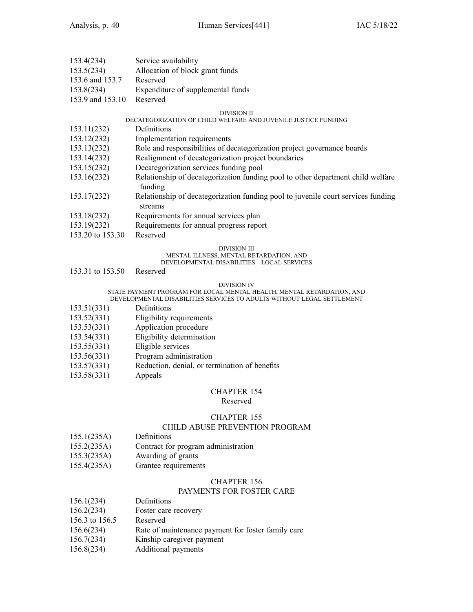| 153.4(234)       | Service availability              |
|------------------|-----------------------------------|
| 153.5(234)       | Allocation of block grant funds   |
| 153.6 and 153.7  | Reserved                          |
| 153.8(234)       | Expenditure of supplemental funds |
| 153.9 and 153.10 | Reserved                          |

#### DIVISION II

### DECATEGORIZATION OF CHILD WELFARE AND JUVENILE JUSTICE FUNDING

- 153.11(232) Definitions
- 153.12(232) Implementation requirements
- 153.13(232) Role and responsibilities of decategorization project governance boards
- 153.14(232) Realignment of decategorization project boundaries
- 153.15(232) Decategorization services funding pool
- 153.16(232) Relationship of decategorization funding pool to other department child welfare funding
- 153.17(232) Relationship of decategorization funding pool to juvenile court services funding streams
- 153.18(232) Requirements for annual services plan
- 153.19(232) Requirements for annual progress repor<sup>t</sup>
- 153.20 to 153.30 Reserved

#### DIVISION III

### MENTAL ILLNESS, MENTAL RETARDATION, AND

### DEVELOPMENTAL DISABILITIES—LOCAL SERVICES

153.31 to 153.50 Reserved

#### DIVISION IV

#### STATE PAYMENT PROGRAM FOR LOCAL MENTAL HEALTH, MENTAL RETARDATION, AND DEVELOPMENTAL DISABILITIES SERVICES TO ADULTS WITHOUT LEGAL SETTLEMENT

- 153.51(331) Definitions
- 153.52(331) Eligibility requirements
- 153.53(331) Application procedure
- 153.54(331) Eligibility determination
- 
- 153.55(331) Eligible services
- 153.56(331) Program administration
- 153.57(331) Reduction, denial, or termination of benefits
- 153.58(331) Appeals

### CHAPTER 154

#### Reserved

### CHAPTER 155

### CHILD ABUSE PREVENTION PROGRAM

- 155.1(235A) Definitions
- 155.2(235A) Contract for program administration
- 155.3(235A) Awarding of grants
- 155.4(235A) Grantee requirements

### CHAPTER 156

### PAYMENTS FOR FOSTER CARE

- 156.1(234) Definitions
- 156.2(234) Foster care recovery
- 156.3 to 156.5 Reserved
- 156.6(234) Rate of maintenance payment for foster family care
- 156.7(234) Kinship caregiver paymen<sup>t</sup>
- 156.8(234) Additional payments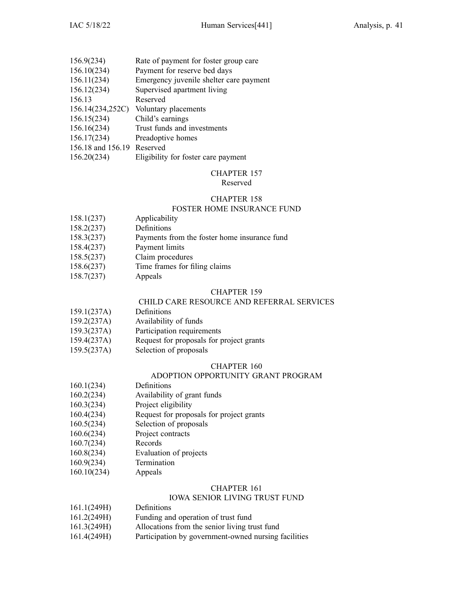| 156.9(234)                 | Rate of payment for foster group care   |
|----------------------------|-----------------------------------------|
| 156.10(234)                | Payment for reserve bed days            |
| 156.11(234)                | Emergency juvenile shelter care payment |
| 156.12(234)                | Supervised apartment living             |
| 156.13                     | Reserved                                |
| 156.14(234,252C)           | Voluntary placements                    |
| 156.15(234)                | Child's earnings                        |
| 156.16(234)                | Trust funds and investments             |
| 156.17(234)                | Preadoptive homes                       |
| 156.18 and 156.19 Reserved |                                         |
| 156.20(234)                | Eligibility for foster care payment     |
|                            |                                         |

Reserved

### CHAPTER 158

### FOSTER HOME INSURANCE FUND

- 158.1(237) Applicability
- 158.2(237) Definitions
- 158.3(237) Payments from the foster home insurance fund
- 158.4(237) Payment limits
- 158.5(237) Claim procedures
- 158.6(237) Time frames for filing claims
- 158.7(237) Appeals

### CHAPTER 159

### CHILD CARE RESOURCE AND REFERRAL SERVICES

- 159.1(237A) Definitions
- 159.2(237A) Availability of funds
- 159.3(237A) Participation requirements
- 159.4(237A) Request for proposals for project grants
- 159.5(237A) Selection of proposals

### CHAPTER 160

### ADOPTION OPPORTUNITY GRANT PROGRAM

- 160.1(234) Definitions
- 160.2(234) Availability of gran<sup>t</sup> funds
- 160.3(234) Project eligibility
- 160.4(234) Request for proposals for project grants
- 160.5(234) Selection of proposals
- 160.6(234) Project contracts
- 160.7(234) Records
- 160.8(234) Evaluation of projects
- 160.9(234) Termination
- 160.10(234) Appeals

### CHAPTER 161

### IOWA SENIOR LIVING TRUST FUND

- 161.1(249H) Definitions
- 161.2(249H) Funding and operation of trust fund
- 161.3(249H) Allocations from the senior living trust fund
- 161.4(249H) Participation by government-owned nursing facilities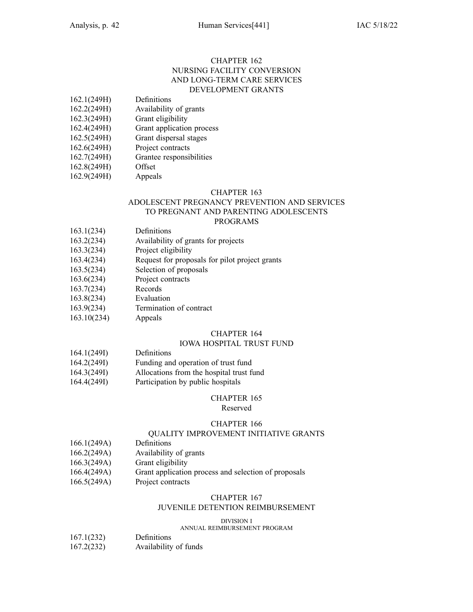### CHAPTER 162 NURSING FACILITY CONVERSION AND LONG-TERM CARE SERVICES DEVELOPMENT GRANTS

- 162.1(249H) Definitions
- 162.2(249H) Availability of grants
- 162.3(249H) Grant eligibility
- 162.4(249H) Grant application process
- 162.5(249H) Grant dispersal stages
- 162.6(249H) Project contracts
- 162.7(249H) Grantee responsibilities
- 162.8(249H) Offset
- 162.9(249H) Appeals

### CHAPTER 163

### ADOLESCENT PREGNANCY PREVENTION AND SERVICES TO PREGNANT AND PARENTING ADOLESCENTS

### PROGRAMS

- 163.1(234) Definitions
- 163.2(234) Availability of grants for projects
- 163.3(234) Project eligibility
- 163.4(234) Request for proposals for pilot project grants
- 163.5(234) Selection of proposals
- 163.6(234) Project contracts
- 163.7(234) Records
- 163.8(234) Evaluation
- 163.9(234) Termination of contract
- 163.10(234) Appeals

### CHAPTER 164

### IOWA HOSPITAL TRUST FUND

- 164.1(249I) Definitions
- 164.2(249I) Funding and operation of trust fund
- 164.3(249I) Allocations from the hospital trust fund
- 164.4(249I) Participation by public hospitals

### CHAPTER 165

### Reserved

### CHAPTER 166

### QUALITY IMPROVEMENT INITIATIVE GRANTS

- 166.1(249A) Definitions
- 166.2(249A) Availability of grants
- 166.3(249A) Grant eligibility
- 166.4(249A) Grant application process and selection of proposals
- 166.5(249A) Project contracts

### CHAPTER 167

### JUVENILE DETENTION REIMBURSEMENT

DIVISION I

### ANNUAL REIMBURSEMENT PROGRAM

- 167.1(232) Definitions
- 167.2(232) Availability of funds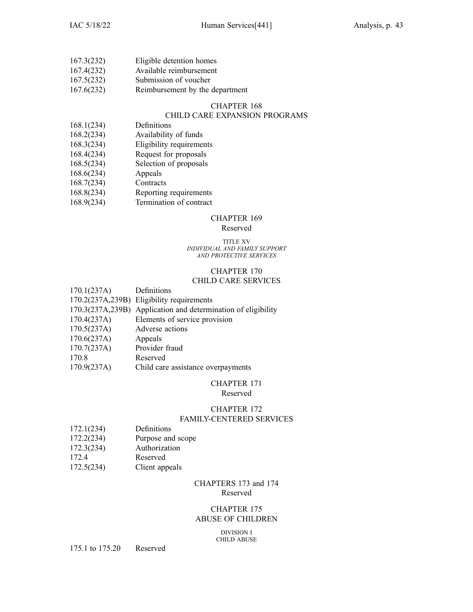| 167.3(232) | Eligible detention homes |
|------------|--------------------------|
| 167.4(232) | Available reimbursement  |
| 167.5(232) | Submission of voucher    |

167.6(232) Reimbursement by the department

### CHAPTER 168

### CHILD CARE EXPANSION PROGRAMS

- 168.1(234) Definitions
- 168.2(234) Availability of funds
- 168.3(234) Eligibility requirements
- 168.4(234) Request for proposals
- 168.5(234) Selection of proposals
- 168.6(234) Appeals
- 168.7(234) Contracts
- 168.8(234) Reporting requirements
- 168.9(234) Termination of contract

### CHAPTER 169

### Reserved

#### TITLE XV *INDIVIDUAL AND FAMILY SUPPORT AND PROTECTIVE SERVICES*

## CHAPTER 170

### CHILD CARE SERVICES

| 170.1(237A) | Definitions                                                   |
|-------------|---------------------------------------------------------------|
|             | 170.2(237A,239B) Eligibility requirements                     |
|             | 170.3(237A,239B) Application and determination of eligibility |
| 170.4(237A) | Elements of service provision                                 |
| 170.5(237A) | Adverse actions                                               |
| 170.6(237A) | Appeals                                                       |
| 170.7(237A) | Provider fraud                                                |
| 170.8       | Reserved                                                      |
| 170.9(237A) | Child care assistance overpayments                            |
|             |                                                               |

### CHAPTER 171

### Reserved

### CHAPTER 172

### FAMILY-CENTERED SERVICES

- 172.1(234) Definitions
- 172.2(234) Purpose and scope
- 172.3(234) Authorization
- 172.4 Reserved
- 172.5(234) Client appeals

### CHAPTERS 173 and 174 Reserved

### CHAPTER 175 ABUSE OF CHILDREN

DIVISION I CHILD ABUSE

175.1 to 175.20 Reserved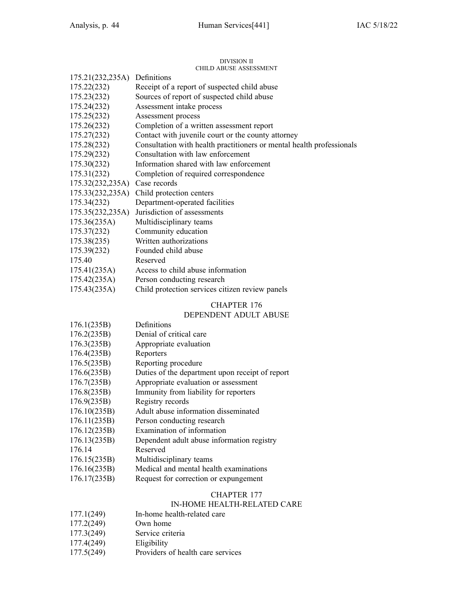#### DIVISION II CHILD ABUSE ASSESSMENT

|                               | UHILD ABUSE ASSESSMENT                                                |
|-------------------------------|-----------------------------------------------------------------------|
| 175.21(232,235A) Definitions  |                                                                       |
| 175.22(232)                   | Receipt of a report of suspected child abuse                          |
| 175.23(232)                   | Sources of report of suspected child abuse                            |
| 175.24(232)                   | Assessment intake process                                             |
| 175.25(232)                   | Assessment process                                                    |
| 175.26(232)                   | Completion of a written assessment report                             |
| 175.27(232)                   | Contact with juvenile court or the county attorney                    |
| 175.28(232)                   | Consultation with health practitioners or mental health professionals |
| 175.29(232)                   | Consultation with law enforcement                                     |
| 175.30(232)                   | Information shared with law enforcement                               |
| 175.31(232)                   | Completion of required correspondence                                 |
| 175.32(232,235A) Case records |                                                                       |
| 175.33(232,235A)              | Child protection centers                                              |
| 175.34(232)                   | Department-operated facilities                                        |
| 175.35(232,235A)              | Jurisdiction of assessments                                           |
| 175.36(235A)                  | Multidisciplinary teams                                               |
| 175.37(232)                   | Community education                                                   |
| 175.38(235)                   | Written authorizations                                                |
| 175.39(232)                   | Founded child abuse                                                   |
| 175.40                        | Reserved                                                              |
| 175.41(235A)                  | Access to child abuse information                                     |
| 175.42(235A)                  | Person conducting research                                            |
| 175.43(235A)                  | Child protection services citizen review panels                       |

### CHAPTER 176

### DEPENDENT ADULT ABUSE

| 176.1(235B)  | Definitions                                     |
|--------------|-------------------------------------------------|
| 176.2(235B)  | Denial of critical care                         |
| 176.3(235B)  | Appropriate evaluation                          |
| 176.4(235B)  | Reporters                                       |
| 176.5(235B)  | Reporting procedure                             |
| 176.6(235B)  | Duties of the department upon receipt of report |
| 176.7(235B)  | Appropriate evaluation or assessment            |
| 176.8(235B)  | Immunity from liability for reporters           |
| 176.9(235B)  | Registry records                                |
| 176.10(235B) | Adult abuse information disseminated            |
| 176.11(235B) | Person conducting research                      |
| 176.12(235B) | Examination of information                      |
| 176.13(235B) | Dependent adult abuse information registry      |
| 176.14       | Reserved                                        |
| 176.15(235B) | Multidisciplinary teams                         |
| 176.16(235B) | Medical and mental health examinations          |
| 176.17(235B) | Request for correction or expungement           |

### CHAPTER 177

### IN-HOME HEALTH-RELATED CARE

| 177.1(249) | In-home health-related care |
|------------|-----------------------------|
|------------|-----------------------------|

- 177.2(249) Own home
- 177.3(249) Service criteria<br>177.4(249) Eligibility
- 177.4(249)
- 177.5(249) Providers of health care services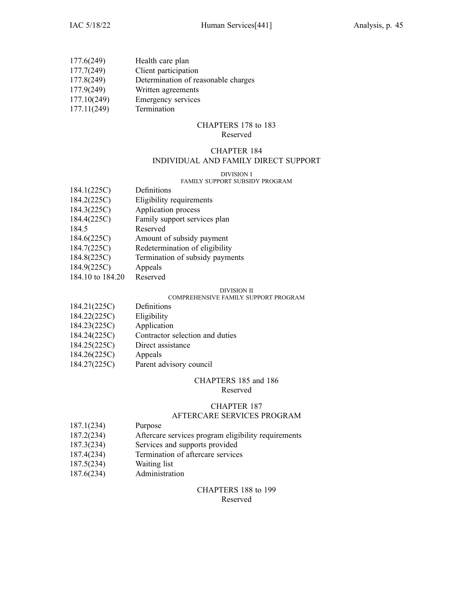| 177.6(249)  | Health care plan                    |
|-------------|-------------------------------------|
| 177.7(249)  | Client participation                |
| 177.8(249)  | Determination of reasonable charges |
| 177.9(249)  | Written agreements                  |
| 177.10(249) | Emergency services                  |
| 177.11(249) | Termination                         |

### CHAPTERS 178 to 183 Reserved

# CHAPTER 184

### INDIVIDUAL AND FAMILY DIRECT SUPPORT

#### DIVISION I

### FAMILY SUPPORT SUBSIDY PROGRAM

| 184.1(225C)      | Definitions                     |
|------------------|---------------------------------|
| 184.2(225C)      | Eligibility requirements        |
| 184.3(225C)      | Application process             |
| 184.4(225C)      | Family support services plan    |
| 184.5            | Reserved                        |
| 184.6(225C)      | Amount of subsidy payment       |
| 184.7(225C)      | Redetermination of eligibility  |
| 184.8(225C)      | Termination of subsidy payments |
| 184.9(225C)      | Appeals                         |
| 184.10 to 184.20 | Reserved                        |

#### DIVISION II

### COMPREHENSIVE FAMILY SUPPORT PROGRAM

| 184.21(225C) | Definitions                     |
|--------------|---------------------------------|
| 184.22(225C) | Eligibility                     |
| 184.23(225C) | Application                     |
| 184.24(225C) | Contractor selection and duties |
| 184.25(225C) | Direct assistance               |
| 184.26(225C) | Appeals                         |
| 184.27(225C) | Parent advisory council         |

# CHAPTERS 185 and 186

### Reserved

## CHAPTER 187

### AFTERCARE SERVICES PROGRAM

- 187.1(234) Purpose
- 187.2(234) Aftercare services program eligibility requirements
- 187.3(234) Services and supports provided
- 187.4(234) Termination of aftercare services
- 187.5(234) Waiting list
- 187.6(234) Administration

### CHAPTERS 188 to 199 Reserved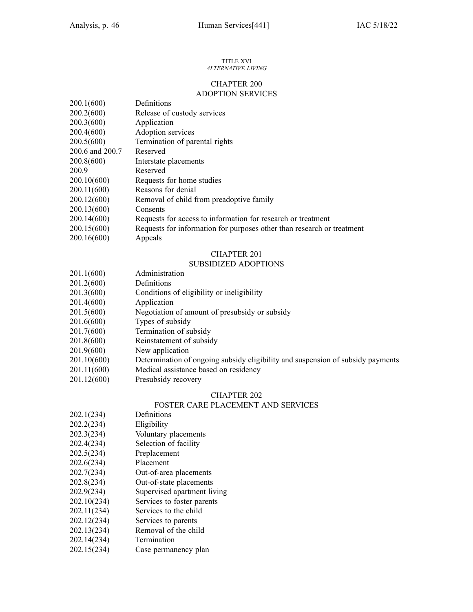#### TITLE XVI *ALTERNATIVE LIVING*

### CHAPTER 200 ADOPTION SERVICES

| 200.1(600)      | Definitions                                                            |
|-----------------|------------------------------------------------------------------------|
| 200.2(600)      | Release of custody services                                            |
| 200.3(600)      | Application                                                            |
| 200.4(600)      | Adoption services                                                      |
| 200.5(600)      | Termination of parental rights                                         |
| 200.6 and 200.7 | Reserved                                                               |
| 200.8(600)      | Interstate placements                                                  |
| 200.9           | Reserved                                                               |
| 200.10(600)     | Requests for home studies                                              |
| 200.11(600)     | Reasons for denial                                                     |
| 200.12(600)     | Removal of child from preadoptive family                               |
| 200.13(600)     | Consents                                                               |
| 200.14(600)     | Requests for access to information for research or treatment           |
| 200.15(600)     | Requests for information for purposes other than research or treatment |
| 200.16(600)     | Appeals                                                                |

### CHAPTER 201

### SUBSIDIZED ADOPTIONS

| 201.1(600)  | Administration                                                                  |
|-------------|---------------------------------------------------------------------------------|
| 201.2(600)  | Definitions                                                                     |
| 201.3(600)  | Conditions of eligibility or ineligibility                                      |
| 201.4(600)  | Application                                                                     |
| 201.5(600)  | Negotiation of amount of presubsidy or subsidy                                  |
| 201.6(600)  | Types of subsidy                                                                |
| 201.7(600)  | Termination of subsidy                                                          |
| 201.8(600)  | Reinstatement of subsidy                                                        |
| 201.9(600)  | New application                                                                 |
| 201.10(600) | Determination of ongoing subsidy eligibility and suspension of subsidy payments |
| 201.11(600) | Medical assistance based on residency                                           |
| 201.12(600) | Presubsidy recovery                                                             |

### CHAPTER 202

### FOSTER CARE PLACEMENT AND SERVICES

- 202.1(234) Definitions
- 202.2(234) Eligibility
- 202.3(234) Voluntary placements
- 202.4(234) Selection of facility
- 202.5(234) Preplacement
- 202.6(234) Placement
- 202.7(234) Out-of-area placements
- 202.8(234) Out-of-state placements
- 202.9(234) Supervised apartment living
- 202.10(234) Services to foster parents
- 202.11(234) Services to the child
- 202.12(234) Services to parents
- 202.13(234) Removal of the child
- 202.14(234) Termination
- 202.15(234) Case permanency plan